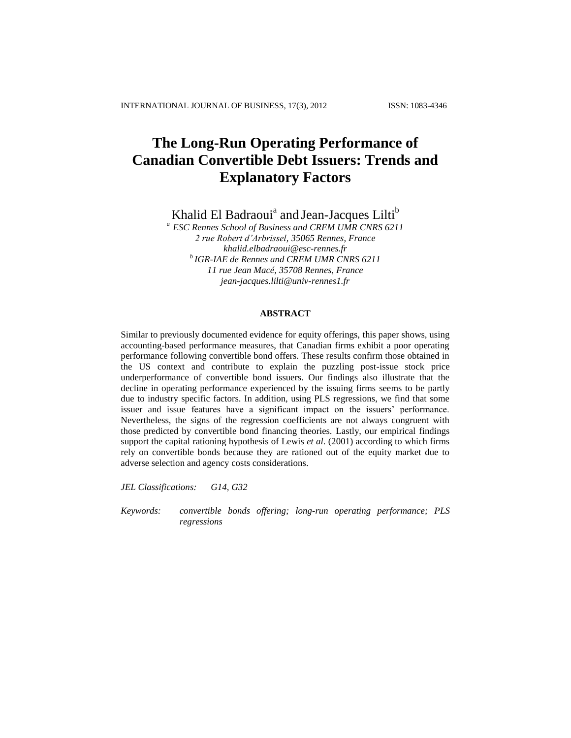# **The Long-Run Operating Performance of Canadian Convertible Debt Issuers: Trends and Explanatory Factors**

Khalid El Badraoui<sup>a</sup> and Jean-Jacques Lilti<sup>b</sup>

*<sup>a</sup>ESC Rennes School of Business and CREM UMR CNRS 6211 2 rue Robert d'Arbrissel, 35065 Rennes, France khalid.elbadraoui@esc-rennes.fr b IGR-IAE de Rennes and CREM UMR CNRS 6211 11 rue Jean Macé, 35708 Rennes, France jean-jacques.lilti@univ-rennes1.fr*

## **ABSTRACT**

Similar to previously documented evidence for equity offerings, this paper shows, using accounting-based performance measures, that Canadian firms exhibit a poor operating performance following convertible bond offers. These results confirm those obtained in the US context and contribute to explain the puzzling post-issue stock price underperformance of convertible bond issuers. Our findings also illustrate that the decline in operating performance experienced by the issuing firms seems to be partly due to industry specific factors. In addition, using PLS regressions, we find that some issuer and issue features have a significant impact on the issuers' performance. Nevertheless, the signs of the regression coefficients are not always congruent with those predicted by convertible bond financing theories. Lastly, our empirical findings support the capital rationing hypothesis of Lewis *et al*. (2001) according to which firms rely on convertible bonds because they are rationed out of the equity market due to adverse selection and agency costs considerations.

*JEL Classifications: G14, G32* 

*Keywords: convertible bonds offering; long-run operating performance; PLS regressions*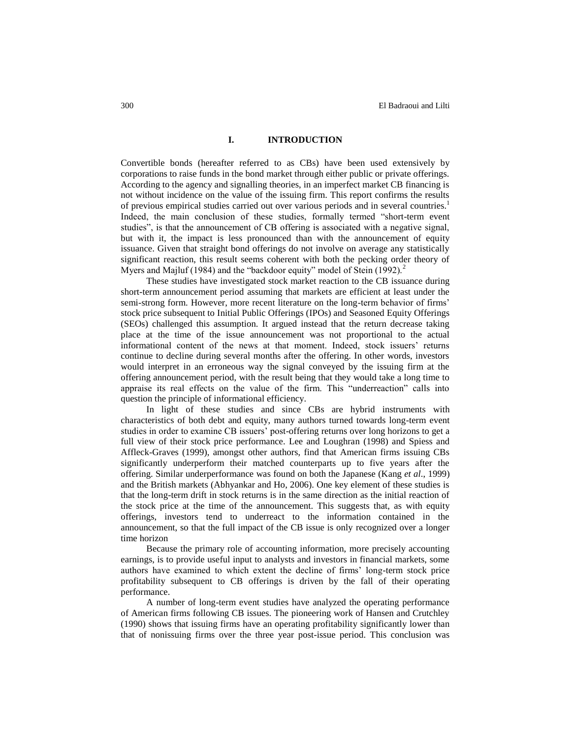## **I. INTRODUCTION**

Convertible bonds (hereafter referred to as CBs) have been used extensively by corporations to raise funds in the bond market through either public or private offerings. According to the agency and signalling theories, in an imperfect market CB financing is not without incidence on the value of the issuing firm. This report confirms the results of previous empirical studies carried out over various periods and in several countries.<sup>1</sup> Indeed, the main conclusion of these studies, formally termed "short-term event studies", is that the announcement of CB offering is associated with a negative signal, but with it, the impact is less pronounced than with the announcement of equity issuance. Given that straight bond offerings do not involve on average any statistically significant reaction, this result seems coherent with both the pecking order theory of Myers and Majluf (1984) and the "backdoor equity" model of Stein (1992).<sup>2</sup>

These studies have investigated stock market reaction to the CB issuance during short-term announcement period assuming that markets are efficient at least under the semi-strong form. However, more recent literature on the long-term behavior of firms' stock price subsequent to Initial Public Offerings (IPOs) and Seasoned Equity Offerings (SEOs) challenged this assumption. It argued instead that the return decrease taking place at the time of the issue announcement was not proportional to the actual informational content of the news at that moment. Indeed, stock issuers' returns continue to decline during several months after the offering. In other words, investors would interpret in an erroneous way the signal conveyed by the issuing firm at the offering announcement period, with the result being that they would take a long time to appraise its real effects on the value of the firm. This "underreaction" calls into question the principle of informational efficiency.

In light of these studies and since CBs are hybrid instruments with characteristics of both debt and equity, many authors turned towards long-term event studies in order to examine CB issuers' post-offering returns over long horizons to get a full view of their stock price performance. Lee and Loughran (1998) and Spiess and Affleck-Graves (1999), amongst other authors, find that American firms issuing CBs significantly underperform their matched counterparts up to five years after the offering. Similar underperformance was found on both the Japanese (Kang *et al*., 1999) and the British markets (Abhyankar and Ho, 2006). One key element of these studies is that the long-term drift in stock returns is in the same direction as the initial reaction of the stock price at the time of the announcement. This suggests that, as with equity offerings, investors tend to underreact to the information contained in the announcement, so that the full impact of the CB issue is only recognized over a longer time horizon

Because the primary role of accounting information, more precisely accounting earnings, is to provide useful input to analysts and investors in financial markets, some authors have examined to which extent the decline of firms' long-term stock price profitability subsequent to CB offerings is driven by the fall of their operating performance.

A number of long-term event studies have analyzed the operating performance of American firms following CB issues. The pioneering work of Hansen and Crutchley (1990) shows that issuing firms have an operating profitability significantly lower than that of nonissuing firms over the three year post-issue period. This conclusion was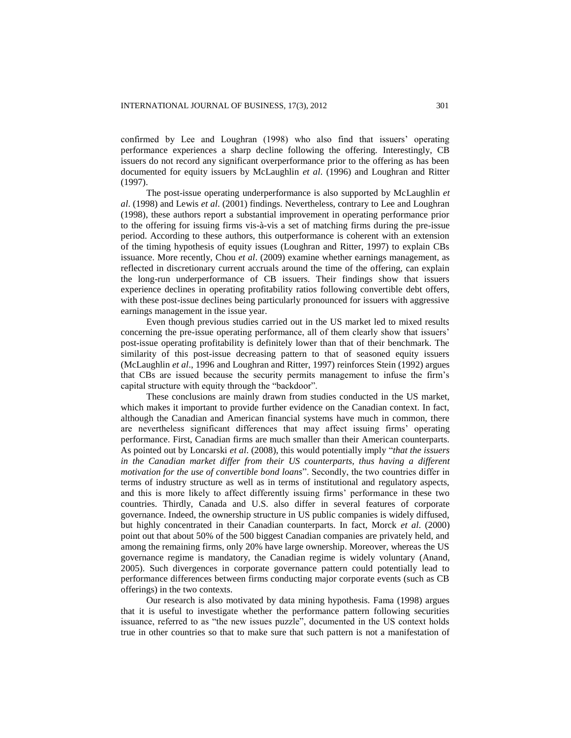confirmed by Lee and Loughran (1998) who also find that issuers' operating performance experiences a sharp decline following the offering. Interestingly, CB issuers do not record any significant overperformance prior to the offering as has been documented for equity issuers by McLaughlin *et al*. (1996) and Loughran and Ritter (1997).

The post-issue operating underperformance is also supported by McLaughlin *et al*. (1998) and Lewis *et al*. (2001) findings. Nevertheless, contrary to Lee and Loughran (1998), these authors report a substantial improvement in operating performance prior to the offering for issuing firms vis-à-vis a set of matching firms during the pre-issue period. According to these authors, this outperformance is coherent with an extension of the timing hypothesis of equity issues (Loughran and Ritter, 1997) to explain CBs issuance. More recently, Chou *et al*. (2009) examine whether earnings management, as reflected in discretionary current accruals around the time of the offering, can explain the long-run underperformance of CB issuers. Their findings show that issuers experience declines in operating profitability ratios following convertible debt offers, with these post-issue declines being particularly pronounced for issuers with aggressive earnings management in the issue year.

Even though previous studies carried out in the US market led to mixed results concerning the pre-issue operating performance, all of them clearly show that issuers' post-issue operating profitability is definitely lower than that of their benchmark. The similarity of this post-issue decreasing pattern to that of seasoned equity issuers (McLaughlin *et al*., 1996 and Loughran and Ritter, 1997) reinforces Stein (1992) argues that CBs are issued because the security permits management to infuse the firm's capital structure with equity through the "backdoor".

These conclusions are mainly drawn from studies conducted in the US market, which makes it important to provide further evidence on the Canadian context. In fact, although the Canadian and American financial systems have much in common, there are nevertheless significant differences that may affect issuing firms' operating performance. First, Canadian firms are much smaller than their American counterparts. As pointed out by Loncarski *et al*. (2008), this would potentially imply "*that the issuers in the Canadian market differ from their US counterparts, thus having a different motivation for the use of convertible bond loans*". Secondly, the two countries differ in terms of industry structure as well as in terms of institutional and regulatory aspects, and this is more likely to affect differently issuing firms' performance in these two countries. Thirdly, Canada and U.S. also differ in several features of corporate governance. Indeed, the ownership structure in US public companies is widely diffused, but highly concentrated in their Canadian counterparts. In fact, Morck *et al*. (2000) point out that about 50% of the 500 biggest Canadian companies are privately held, and among the remaining firms, only 20% have large ownership. Moreover, whereas the US governance regime is mandatory, the Canadian regime is widely voluntary (Anand, 2005). Such divergences in corporate governance pattern could potentially lead to performance differences between firms conducting major corporate events (such as CB offerings) in the two contexts.

Our research is also motivated by data mining hypothesis. Fama (1998) argues that it is useful to investigate whether the performance pattern following securities issuance, referred to as "the new issues puzzle", documented in the US context holds true in other countries so that to make sure that such pattern is not a manifestation of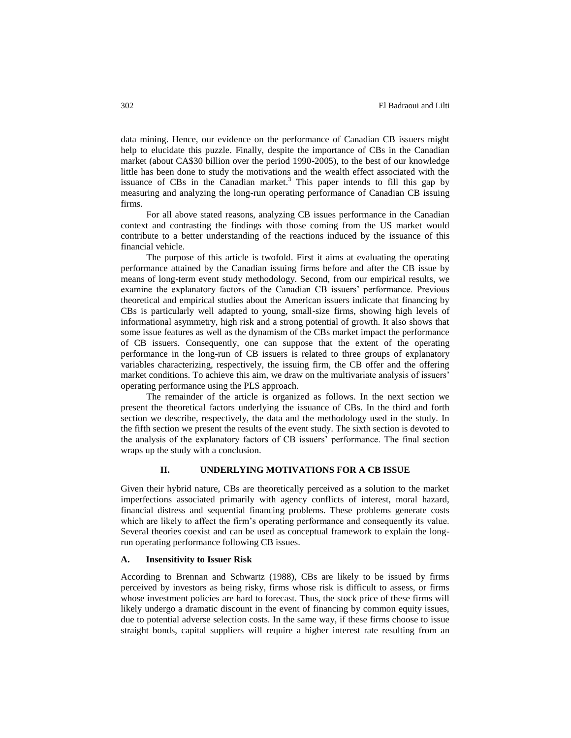data mining. Hence, our evidence on the performance of Canadian CB issuers might help to elucidate this puzzle. Finally, despite the importance of CBs in the Canadian market (about CA\$30 billion over the period 1990-2005), to the best of our knowledge little has been done to study the motivations and the wealth effect associated with the issuance of CBs in the Canadian market.<sup>3</sup> This paper intends to fill this gap by measuring and analyzing the long-run operating performance of Canadian CB issuing firms.

For all above stated reasons, analyzing CB issues performance in the Canadian context and contrasting the findings with those coming from the US market would contribute to a better understanding of the reactions induced by the issuance of this financial vehicle.

The purpose of this article is twofold. First it aims at evaluating the operating performance attained by the Canadian issuing firms before and after the CB issue by means of long-term event study methodology. Second, from our empirical results, we examine the explanatory factors of the Canadian CB issuers' performance. Previous theoretical and empirical studies about the American issuers indicate that financing by CBs is particularly well adapted to young, small-size firms, showing high levels of informational asymmetry, high risk and a strong potential of growth. It also shows that some issue features as well as the dynamism of the CBs market impact the performance of CB issuers. Consequently, one can suppose that the extent of the operating performance in the long-run of CB issuers is related to three groups of explanatory variables characterizing, respectively, the issuing firm, the CB offer and the offering market conditions. To achieve this aim, we draw on the multivariate analysis of issuers' operating performance using the PLS approach.

The remainder of the article is organized as follows. In the next section we present the theoretical factors underlying the issuance of CBs. In the third and forth section we describe, respectively, the data and the methodology used in the study. In the fifth section we present the results of the event study. The sixth section is devoted to the analysis of the explanatory factors of CB issuers' performance. The final section wraps up the study with a conclusion.

#### **II. UNDERLYING MOTIVATIONS FOR A CB ISSUE**

Given their hybrid nature, CBs are theoretically perceived as a solution to the market imperfections associated primarily with agency conflicts of interest, moral hazard, financial distress and sequential financing problems. These problems generate costs which are likely to affect the firm's operating performance and consequently its value. Several theories coexist and can be used as conceptual framework to explain the longrun operating performance following CB issues.

#### **A. Insensitivity to Issuer Risk**

According to Brennan and Schwartz (1988), CBs are likely to be issued by firms perceived by investors as being risky, firms whose risk is difficult to assess, or firms whose investment policies are hard to forecast. Thus, the stock price of these firms will likely undergo a dramatic discount in the event of financing by common equity issues, due to potential adverse selection costs. In the same way, if these firms choose to issue straight bonds, capital suppliers will require a higher interest rate resulting from an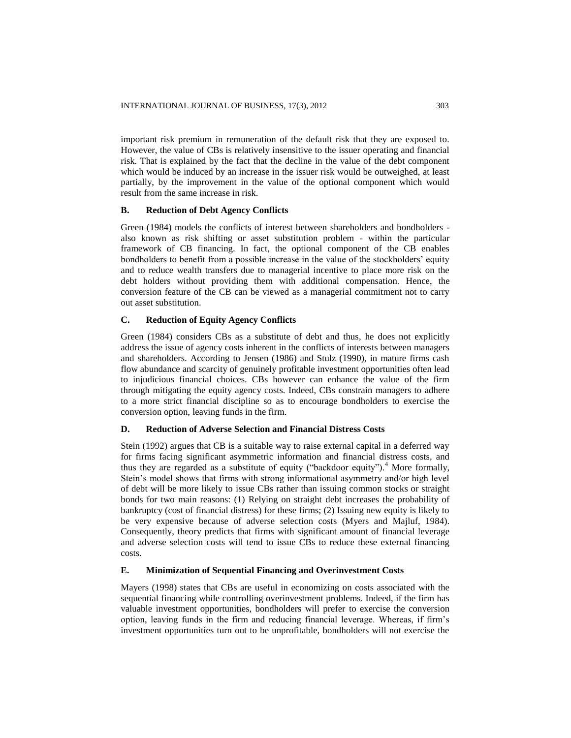important risk premium in remuneration of the default risk that they are exposed to. However, the value of CBs is relatively insensitive to the issuer operating and financial risk. That is explained by the fact that the decline in the value of the debt component which would be induced by an increase in the issuer risk would be outweighed, at least partially, by the improvement in the value of the optional component which would result from the same increase in risk.

#### **B. Reduction of Debt Agency Conflicts**

Green (1984) models the conflicts of interest between shareholders and bondholders also known as risk shifting or asset substitution problem - within the particular framework of CB financing. In fact, the optional component of the CB enables bondholders to benefit from a possible increase in the value of the stockholders' equity and to reduce wealth transfers due to managerial incentive to place more risk on the debt holders without providing them with additional compensation. Hence, the conversion feature of the CB can be viewed as a managerial commitment not to carry out asset substitution.

#### **C. Reduction of Equity Agency Conflicts**

Green (1984) considers CBs as a substitute of debt and thus, he does not explicitly address the issue of agency costs inherent in the conflicts of interests between managers and shareholders. According to Jensen (1986) and Stulz (1990), in mature firms cash flow abundance and scarcity of genuinely profitable investment opportunities often lead to injudicious financial choices. CBs however can enhance the value of the firm through mitigating the equity agency costs. Indeed, CBs constrain managers to adhere to a more strict financial discipline so as to encourage bondholders to exercise the conversion option, leaving funds in the firm.

#### **D. Reduction of Adverse Selection and Financial Distress Costs**

Stein (1992) argues that CB is a suitable way to raise external capital in a deferred way for firms facing significant asymmetric information and financial distress costs, and thus they are regarded as a substitute of equity ("backdoor equity").<sup>4</sup> More formally, Stein's model shows that firms with strong informational asymmetry and/or high level of debt will be more likely to issue CBs rather than issuing common stocks or straight bonds for two main reasons: (1) Relying on straight debt increases the probability of bankruptcy (cost of financial distress) for these firms; (2) Issuing new equity is likely to be very expensive because of adverse selection costs (Myers and Majluf, 1984). Consequently, theory predicts that firms with significant amount of financial leverage and adverse selection costs will tend to issue CBs to reduce these external financing costs.

### **E. Minimization of Sequential Financing and Overinvestment Costs**

Mayers (1998) states that CBs are useful in economizing on costs associated with the sequential financing while controlling overinvestment problems. Indeed, if the firm has valuable investment opportunities, bondholders will prefer to exercise the conversion option, leaving funds in the firm and reducing financial leverage. Whereas, if firm's investment opportunities turn out to be unprofitable, bondholders will not exercise the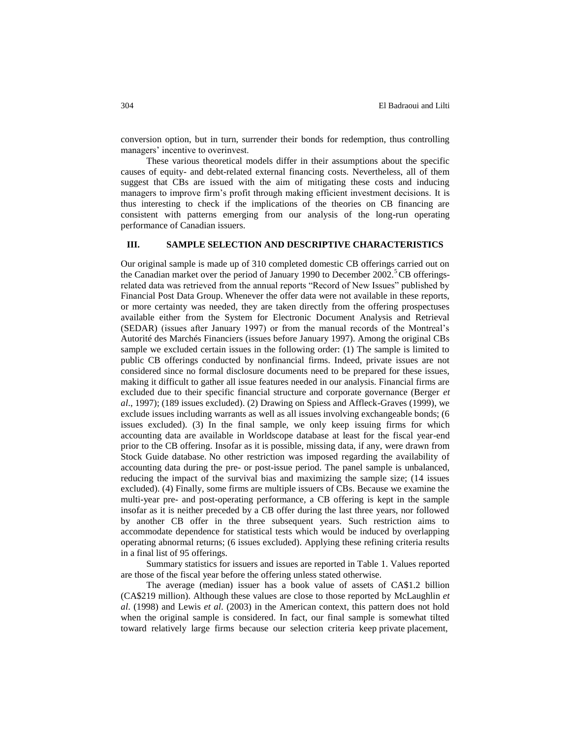conversion option, but in turn, surrender their bonds for redemption, thus controlling managers' incentive to overinvest.

These various theoretical models differ in their assumptions about the specific causes of equity- and debt-related external financing costs. Nevertheless, all of them suggest that CBs are issued with the aim of mitigating these costs and inducing managers to improve firm's profit through making efficient investment decisions. It is thus interesting to check if the implications of the theories on CB financing are consistent with patterns emerging from our analysis of the long-run operating performance of Canadian issuers.

## **III. SAMPLE SELECTION AND DESCRIPTIVE CHARACTERISTICS**

Our original sample is made up of 310 completed domestic CB offerings carried out on the Canadian market over the period of January 1990 to December 2002.<sup>5</sup>CB offeringsrelated data was retrieved from the annual reports "Record of New Issues" published by Financial Post Data Group. Whenever the offer data were not available in these reports, or more certainty was needed, they are taken directly from the offering prospectuses available either from the System for Electronic Document Analysis and Retrieval (SEDAR) (issues after January 1997) or from the manual records of the Montreal's Autorité des Marchés Financiers (issues before January 1997). Among the original CBs sample we excluded certain issues in the following order: (1) The sample is limited to public CB offerings conducted by nonfinancial firms. Indeed, private issues are not considered since no formal disclosure documents need to be prepared for these issues, making it difficult to gather all issue features needed in our analysis. Financial firms are excluded due to their specific financial structure and corporate governance (Berger *et al*., 1997); (189 issues excluded). (2) Drawing on Spiess and Affleck-Graves (1999), we exclude issues including warrants as well as all issues involving exchangeable bonds; (6 issues excluded). (3) In the final sample, we only keep issuing firms for which accounting data are available in Worldscope database at least for the fiscal year-end prior to the CB offering. Insofar as it is possible, missing data, if any, were drawn from Stock Guide database. No other restriction was imposed regarding the availability of accounting data during the pre- or post-issue period. The panel sample is unbalanced, reducing the impact of the survival bias and maximizing the sample size; (14 issues excluded). (4) Finally, some firms are multiple issuers of CBs. Because we examine the multi-year pre- and post-operating performance, a CB offering is kept in the sample insofar as it is neither preceded by a CB offer during the last three years, nor followed by another CB offer in the three subsequent years. Such restriction aims to accommodate dependence for statistical tests which would be induced by overlapping operating abnormal returns; (6 issues excluded). Applying these refining criteria results in a final list of 95 offerings.

Summary statistics for issuers and issues are reported in Table 1. Values reported are those of the fiscal year before the offering unless stated otherwise.

The average (median) issuer has a book value of assets of CA\$1.2 billion (CA\$219 million). Although these values are close to those reported by McLaughlin *et al*. (1998) and Lewis *et al*. (2003) in the American context, this pattern does not hold when the original sample is considered. In fact, our final sample is somewhat tilted toward relatively large firms because our selection criteria keep private placement,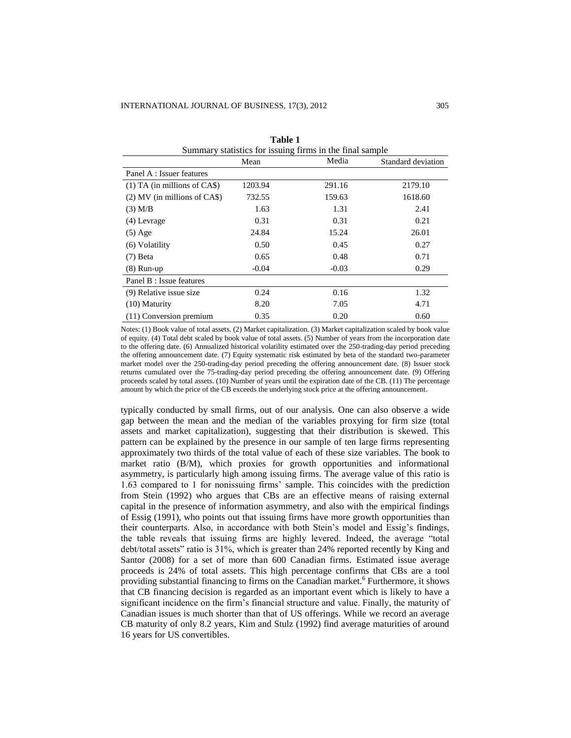| Summary statistics for issuing firms in the final sample |         |         |                    |  |  |  |
|----------------------------------------------------------|---------|---------|--------------------|--|--|--|
|                                                          | Mean    | Media   | Standard deviation |  |  |  |
| Panel A : Issuer features                                |         |         |                    |  |  |  |
| $(1)$ TA (in millions of CA\$)                           | 1203.94 | 291.16  | 2179.10            |  |  |  |
| $(2)$ MV (in millions of CA\$)                           | 732.55  | 159.63  | 1618.60            |  |  |  |
| $(3)$ M/B                                                | 1.63    | 1.31    | 2.41               |  |  |  |
| $(4)$ Levrage                                            | 0.31    | 0.31    | 0.21               |  |  |  |
| $(5)$ Age                                                | 24.84   | 15.24   | 26.01              |  |  |  |
| (6) Volatility                                           | 0.50    | 0.45    | 0.27               |  |  |  |
| $(7)$ Beta                                               | 0.65    | 0.48    | 0.71               |  |  |  |
| $(8)$ Run-up                                             | $-0.04$ | $-0.03$ | 0.29               |  |  |  |
| Panel B : Issue features                                 |         |         |                    |  |  |  |
| (9) Relative issue size                                  | 0.24    | 0.16    | 1.32               |  |  |  |
| $(10)$ Maturity                                          | 8.20    | 7.05    | 4.71               |  |  |  |
| $(11)$ Conversion premium                                | 0.35    | 0.20    | 0.60               |  |  |  |

**Table 1**

Notes: (1) Book value of total assets. (2) Market capitalization. (3) Market capitalization scaled by book value of equity. (4) Total debt scaled by book value of total assets. (5) Number of years from the incorporation date to the offering date. (6) Annualized historical volatility estimated over the 250-trading-day period preceding the offering announcement date. (7) Equity systematic risk estimated by beta of the standard two-parameter market model over the 250-trading-day period preceding the offering announcement date. (8) Issuer stock returns cumulated over the 75-trading-day period preceding the offering announcement date. (9) Offering proceeds scaled by total assets. (10) Number of years until the expiration date of the CB. (11) The percentage amount by which the price of the CB exceeds the underlying stock price at the offering announcement.

typically conducted by small firms, out of our analysis. One can also observe a wide gap between the mean and the median of the variables proxying for firm size (total assets and market capitalization), suggesting that their distribution is skewed. This pattern can be explained by the presence in our sample of ten large firms representing approximately two thirds of the total value of each of these size variables. The book to market ratio (B/M), which proxies for growth opportunities and informational asymmetry, is particularly high among issuing firms. The average value of this ratio is 1.63 compared to 1 for nonissuing firms' sample. This coincides with the prediction from Stein (1992) who argues that CBs are an effective means of raising external capital in the presence of information asymmetry, and also with the empirical findings of Essig (1991), who points out that issuing firms have more growth opportunities than their counterparts. Also, in accordance with both Stein's model and Essig's findings, the table reveals that issuing firms are highly levered. Indeed, the average "total debt/total assets" ratio is 31%, which is greater than 24% reported recently by King and Santor (2008) for a set of more than 600 Canadian firms. Estimated issue average proceeds is 24% of total assets. This high percentage confirms that CBs are a tool providing substantial financing to firms on the Canadian market.<sup>6</sup> Furthermore, it shows that CB financing decision is regarded as an important event which is likely to have a significant incidence on the firm's financial structure and value. Finally, the maturity of Canadian issues is much shorter than that of US offerings. While we record an average CB maturity of only 8.2 years, Kim and Stulz (1992) find average maturities of around 16 years for US convertibles.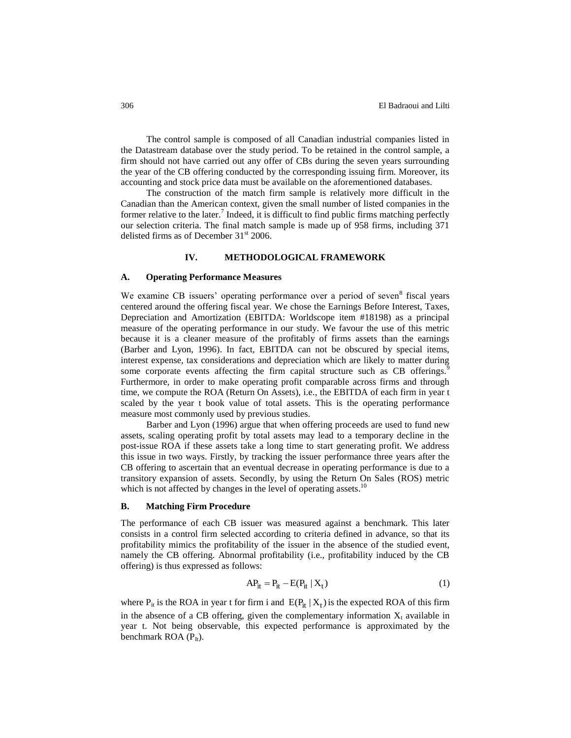The control sample is composed of all Canadian industrial companies listed in the Datastream database over the study period. To be retained in the control sample, a firm should not have carried out any offer of CBs during the seven years surrounding the year of the CB offering conducted by the corresponding issuing firm. Moreover, its accounting and stock price data must be available on the aforementioned databases.

The construction of the match firm sample is relatively more difficult in the Canadian than the American context, given the small number of listed companies in the former relative to the later.<sup>7</sup> Indeed, it is difficult to find public firms matching perfectly our selection criteria. The final match sample is made up of 958 firms, including 371 delisted firms as of December  $31<sup>st</sup>$  2006.

## **IV. METHODOLOGICAL FRAMEWORK**

#### **A. Operating Performance Measures**

We examine CB issuers' operating performance over a period of seven<sup>8</sup> fiscal years centered around the offering fiscal year. We chose the Earnings Before Interest, Taxes, Depreciation and Amortization (EBITDA: Worldscope item #18198) as a principal measure of the operating performance in our study. We favour the use of this metric because it is a cleaner measure of the profitably of firms assets than the earnings (Barber and Lyon, 1996). In fact, EBITDA can not be obscured by special items, interest expense, tax considerations and depreciation which are likely to matter during some corporate events affecting the firm capital structure such as CB offerings. Furthermore, in order to make operating profit comparable across firms and through time, we compute the ROA (Return On Assets), i.e., the EBITDA of each firm in year t scaled by the year t book value of total assets. This is the operating performance measure most commonly used by previous studies.

Barber and Lyon (1996) argue that when offering proceeds are used to fund new assets, scaling operating profit by total assets may lead to a temporary decline in the post-issue ROA if these assets take a long time to start generating profit. We address this issue in two ways. Firstly, by tracking the issuer performance three years after the CB offering to ascertain that an eventual decrease in operating performance is due to a transitory expansion of assets. Secondly, by using the Return On Sales (ROS) metric which is not affected by changes in the level of operating assets.<sup>10</sup>

#### **B. Matching Firm Procedure**

The performance of each CB issuer was measured against a benchmark. This later consists in a control firm selected according to criteria defined in advance, so that its profitability mimics the profitability of the issuer in the absence of the studied event, namely the CB offering. Abnormal profitability (i.e., profitability induced by the CB offering) is thus expressed as follows:

$$
AP_{it} = P_{it} - E(P_{it} | X_t)
$$
 (1)

where  $P_{it}$  is the ROA in year t for firm i and  $E(P_{it} | X_t)$  is the expected ROA of this firm in the absence of a CB offering, given the complementary information  $X_t$  available in year t. Not being observable, this expected performance is approximated by the benchmark ROA  $(P_{It})$ .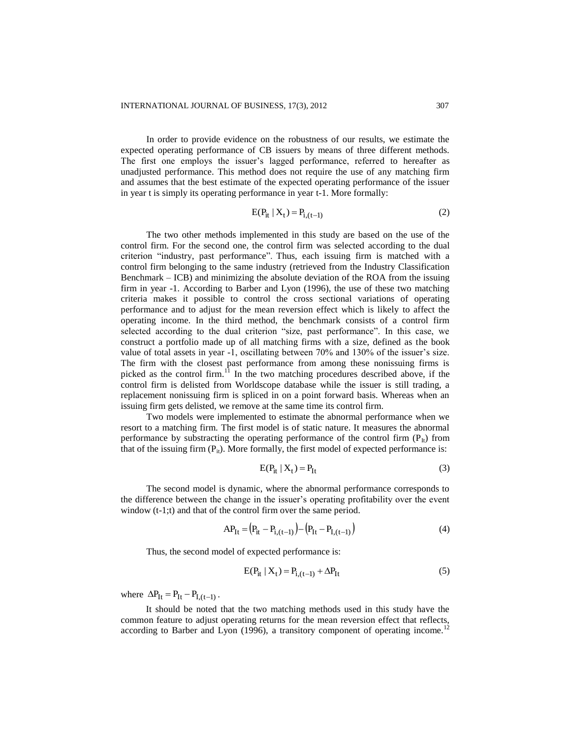In order to provide evidence on the robustness of our results, we estimate the expected operating performance of CB issuers by means of three different methods. The first one employs the issuer's lagged performance, referred to hereafter as unadjusted performance. This method does not require the use of any matching firm and assumes that the best estimate of the expected operating performance of the issuer in year t is simply its operating performance in year t-1. More formally:

$$
E(P_{it} | X_t) = P_{i,(t-1)}
$$
 (2)

The two other methods implemented in this study are based on the use of the control firm. For the second one, the control firm was selected according to the dual criterion "industry, past performance". Thus, each issuing firm is matched with a control firm belonging to the same industry (retrieved from the Industry Classification Benchmark – ICB) and minimizing the absolute deviation of the ROA from the issuing firm in year -1. According to Barber and Lyon (1996), the use of these two matching criteria makes it possible to control the cross sectional variations of operating performance and to adjust for the mean reversion effect which is likely to affect the operating income. In the third method, the benchmark consists of a control firm selected according to the dual criterion "size, past performance". In this case, we construct a portfolio made up of all matching firms with a size, defined as the book value of total assets in year -1, oscillating between 70% and 130% of the issuer's size. The firm with the closest past performance from among these nonissuing firms is picked as the control firm.<sup>11</sup> In the two matching procedures described above, if the control firm is delisted from Worldscope database while the issuer is still trading, a replacement nonissuing firm is spliced in on a point forward basis. Whereas when an issuing firm gets delisted, we remove at the same time its control firm.

Two models were implemented to estimate the abnormal performance when we resort to a matching firm. The first model is of static nature. It measures the abnormal performance by substracting the operating performance of the control firm  $(P<sub>H</sub>)$  from that of the issuing firm  $(P_{ii})$ . More formally, the first model of expected performance is:

$$
E(P_{it} | X_t) = P_{It}
$$
\n(3)

The second model is dynamic, where the abnormal performance corresponds to the difference between the change in the issuer's operating profitability over the event window (t-1;t) and that of the control firm over the same period.

 $\mathcal{L}$ 

$$
AP_{It} = (P_{it} - P_{i,(t-1)}) - (P_{It} - P_{I,(t-1)})
$$
\n(4)

Thus, the second model of expected performance is:

$$
E(P_{it} | X_t) = P_{i,(t-1)} + \Delta P_{It}
$$
 (5)

where  $\Delta P_{It} = P_{It} - P_{I,(t-1)}$ .

It should be noted that the two matching methods used in this study have the common feature to adjust operating returns for the mean reversion effect that reflects, according to Barber and Lyon  $(1996)$ , a transitory component of operating income.<sup>12</sup>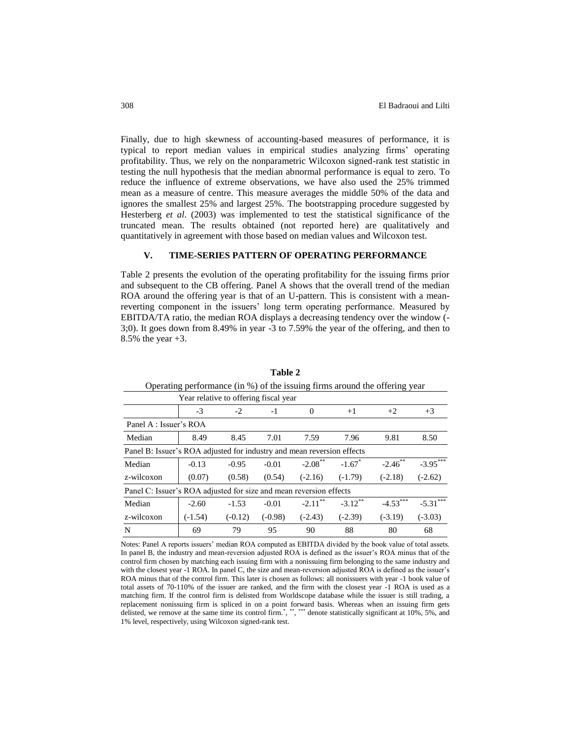Finally, due to high skewness of accounting-based measures of performance, it is typical to report median values in empirical studies analyzing firms' operating profitability. Thus, we rely on the nonparametric Wilcoxon signed-rank test statistic in testing the null hypothesis that the median abnormal performance is equal to zero. To reduce the influence of extreme observations, we have also used the 25% trimmed mean as a measure of centre. This measure averages the middle 50% of the data and ignores the smallest 25% and largest 25%. The bootstrapping procedure suggested by Hesterberg *et al*. (2003) was implemented to test the statistical significance of the truncated mean. The results obtained (not reported here) are qualitatively and quantitatively in agreement with those based on median values and Wilcoxon test.

#### **V. TIME-SERIES PATTERN OF OPERATING PERFORMANCE**

Table 2 presents the evolution of the operating profitability for the issuing firms prior and subsequent to the CB offering. Panel A shows that the overall trend of the median ROA around the offering year is that of an U-pattern. This is consistent with a meanreverting component in the issuers' long term operating performance. Measured by EBITDA/TA ratio, the median ROA displays a decreasing tendency over the window (- 3;0). It goes down from 8.49% in year -3 to 7.59% the year of the offering, and then to 8.5% the year +3.

| Operating performance (in 70) or the issuing firms around the offering year |           |           |           |                       |                      |            |            |  |
|-----------------------------------------------------------------------------|-----------|-----------|-----------|-----------------------|----------------------|------------|------------|--|
| Year relative to offering fiscal year                                       |           |           |           |                       |                      |            |            |  |
|                                                                             | $-3$      | $-2$      | $-1$      | $\Omega$              | $+1$                 | $+2$       | $+3$       |  |
| Panel A : Issuer's ROA                                                      |           |           |           |                       |                      |            |            |  |
| Median                                                                      | 8.49      | 8.45      | 7.01      | 7.59                  | 7.96                 | 9.81       | 8.50       |  |
| Panel B: Issuer's ROA adjusted for industry and mean reversion effects      |           |           |           |                       |                      |            |            |  |
| Median                                                                      | $-0.13$   | $-0.95$   | $-0.01$   | $-2.08$ <sup>**</sup> | $-1.67$ <sup>*</sup> | $-2.46$ ** | $-3.95***$ |  |
| z-wilcoxon                                                                  | (0.07)    | (0.58)    | (0.54)    | $(-2.16)$             | $(-1.79)$            | $(-2.18)$  | $(-2.62)$  |  |
| Panel C: Issuer's ROA adjusted for size and mean reversion effects          |           |           |           |                       |                      |            |            |  |
| Median                                                                      | $-2.60$   | $-1.53$   | $-0.01$   | $-2.11***$            | $-3.12$ **           | $-4.53***$ | $-5.31***$ |  |
| z-wilcoxon                                                                  | $(-1.54)$ | $(-0.12)$ | $(-0.98)$ | $(-2.43)$             | $(-2.39)$            | $(-3.19)$  | $(-3.03)$  |  |
| N                                                                           | 69        | 79        | 95        | 90                    | 88                   | 80         | 68         |  |

**Table 2** Operating performance (in %) of the issuing firms around the offering year

Notes: Panel A reports issuers' median ROA computed as EBITDA divided by the book value of total assets. In panel B, the industry and mean-reversion adjusted ROA is defined as the issuer's ROA minus that of the control firm chosen by matching each issuing firm with a nonissuing firm belonging to the same industry and with the closest year -1 ROA. In panel C, the size and mean-reversion adjusted ROA is defined as the issuer's ROA minus that of the control firm. This later is chosen as follows: all nonissuers with year -1 book value of total assets of 70-110% of the issuer are ranked, and the firm with the closest year -1 ROA is used as a matching firm. If the control firm is delisted from Worldscope database while the issuer is still trading, a replacement nonissuing firm is spliced in on a point forward basis. Whereas when an issuing firm gets delisted, we remove at the same time its control firm.<sup>\*</sup>, \*\*,\*\*\*\*\* denote statistically significant at  $10\%$ , 5%, and 1% level, respectively, using Wilcoxon signed-rank test.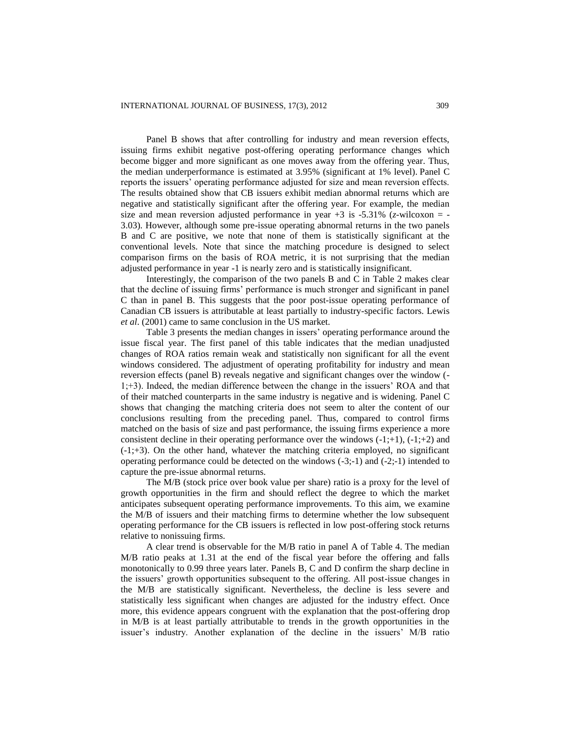Panel B shows that after controlling for industry and mean reversion effects, issuing firms exhibit negative post-offering operating performance changes which become bigger and more significant as one moves away from the offering year. Thus, the median underperformance is estimated at 3.95% (significant at 1% level). Panel C reports the issuers' operating performance adjusted for size and mean reversion effects. The results obtained show that CB issuers exhibit median abnormal returns which are negative and statistically significant after the offering year. For example, the median size and mean reversion adjusted performance in year  $+3$  is  $-5.31\%$  (*z*-wilcoxon = -3.03). However, although some pre-issue operating abnormal returns in the two panels B and C are positive, we note that none of them is statistically significant at the conventional levels. Note that since the matching procedure is designed to select comparison firms on the basis of ROA metric, it is not surprising that the median adjusted performance in year -1 is nearly zero and is statistically insignificant.

Interestingly, the comparison of the two panels B and C in Table 2 makes clear that the decline of issuing firms' performance is much stronger and significant in panel C than in panel B. This suggests that the poor post-issue operating performance of Canadian CB issuers is attributable at least partially to industry-specific factors. Lewis *et al*. (2001) came to same conclusion in the US market.

Table 3 presents the median changes in issers' operating performance around the issue fiscal year. The first panel of this table indicates that the median unadjusted changes of ROA ratios remain weak and statistically non significant for all the event windows considered. The adjustment of operating profitability for industry and mean reversion effects (panel B) reveals negative and significant changes over the window (- 1;+3). Indeed, the median difference between the change in the issuers' ROA and that of their matched counterparts in the same industry is negative and is widening. Panel C shows that changing the matching criteria does not seem to alter the content of our conclusions resulting from the preceding panel. Thus, compared to control firms matched on the basis of size and past performance, the issuing firms experience a more consistent decline in their operating performance over the windows  $(-1;+1)$ ,  $(-1;+2)$  and  $(-1;+3)$ . On the other hand, whatever the matching criteria employed, no significant operating performance could be detected on the windows (-3;-1) and (-2;-1) intended to capture the pre-issue abnormal returns.

The M/B (stock price over book value per share) ratio is a proxy for the level of growth opportunities in the firm and should reflect the degree to which the market anticipates subsequent operating performance improvements. To this aim, we examine the M/B of issuers and their matching firms to determine whether the low subsequent operating performance for the CB issuers is reflected in low post-offering stock returns relative to nonissuing firms.

A clear trend is observable for the M/B ratio in panel A of Table 4. The median M/B ratio peaks at 1.31 at the end of the fiscal year before the offering and falls monotonically to 0.99 three years later. Panels B, C and D confirm the sharp decline in the issuers' growth opportunities subsequent to the offering. All post-issue changes in the M/B are statistically significant. Nevertheless, the decline is less severe and statistically less significant when changes are adjusted for the industry effect. Once more, this evidence appears congruent with the explanation that the post-offering drop in M/B is at least partially attributable to trends in the growth opportunities in the issuer's industry. Another explanation of the decline in the issuers' M/B ratio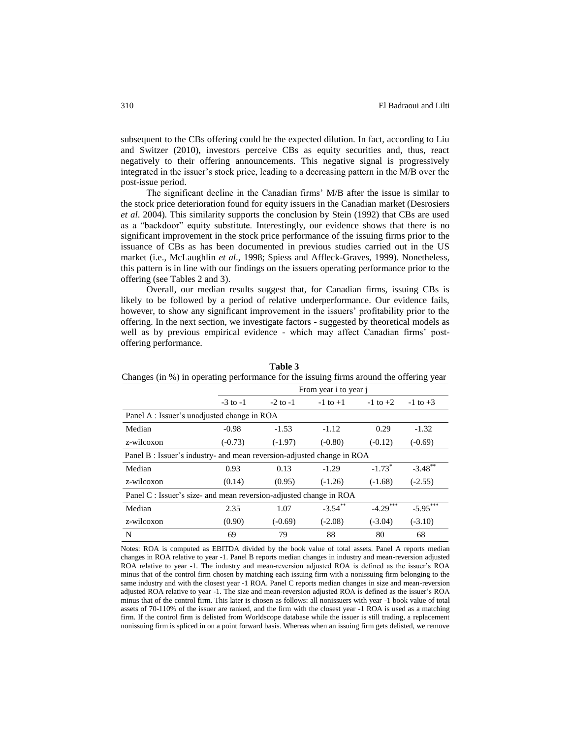subsequent to the CBs offering could be the expected dilution. In fact, according to Liu and Switzer (2010), investors perceive CBs as equity securities and, thus, react negatively to their offering announcements. This negative signal is progressively integrated in the issuer's stock price, leading to a decreasing pattern in the M/B over the post-issue period.

The significant decline in the Canadian firms' M/B after the issue is similar to the stock price deterioration found for equity issuers in the Canadian market (Desrosiers *et al*. 2004). This similarity supports the conclusion by Stein (1992) that CBs are used as a "backdoor" equity substitute. Interestingly, our evidence shows that there is no significant improvement in the stock price performance of the issuing firms prior to the issuance of CBs as has been documented in previous studies carried out in the US market (i.e., McLaughlin *et al*., 1998; Spiess and Affleck-Graves, 1999). Nonetheless, this pattern is in line with our findings on the issuers operating performance prior to the offering (see Tables 2 and 3).

Overall, our median results suggest that, for Canadian firms, issuing CBs is likely to be followed by a period of relative underperformance. Our evidence fails, however, to show any significant improvement in the issuers' profitability prior to the offering. In the next section, we investigate factors - suggested by theoretical models as well as by previous empirical evidence - which may affect Canadian firms' postoffering performance.

| Changes (in %) in operating performance for the issuing firms around the offering year |              |                       |              |                      |              |  |  |
|----------------------------------------------------------------------------------------|--------------|-----------------------|--------------|----------------------|--------------|--|--|
|                                                                                        |              | From year i to year j |              |                      |              |  |  |
|                                                                                        | $-3$ to $-1$ | $-2$ to $-1$          | $-1$ to $+1$ | $-1$ to $+2$         | $-1$ to $+3$ |  |  |
| Panel A : Issuer's unadjusted change in ROA                                            |              |                       |              |                      |              |  |  |
| Median                                                                                 | $-0.98$      | $-1.53$               | $-1.12$      | 0.29                 | $-1.32$      |  |  |
| z-wilcoxon                                                                             | $(-0.73)$    | $(-1.97)$             | $(-0.80)$    | $(-0.12)$            | $(-0.69)$    |  |  |
| Panel B: Issuer's industry- and mean reversion-adjusted change in ROA                  |              |                       |              |                      |              |  |  |
| Median                                                                                 | 0.93         | 0.13                  | $-1.29$      | $-1.73$ <sup>*</sup> | $-3.48$ **   |  |  |
| z-wilcoxon                                                                             | (0.14)       | (0.95)                | $(-1.26)$    | $(-1.68)$            | $(-2.55)$    |  |  |
| Panel C : Issuer's size- and mean reversion-adjusted change in ROA                     |              |                       |              |                      |              |  |  |
| Median                                                                                 | 2.35         | 1.07                  | $-3.54***$   | $-4.29***$           | $-5.95***$   |  |  |
| z-wilcoxon                                                                             | (0.90)       | $(-0.69)$             | $(-2.08)$    | $(-3.04)$            | $(-3.10)$    |  |  |
| N                                                                                      | 69           | 79                    | 88           | 80                   | 68           |  |  |

**Table 3**

Notes: ROA is computed as EBITDA divided by the book value of total assets. Panel A reports median changes in ROA relative to year -1. Panel B reports median changes in industry and mean-reversion adjusted ROA relative to year -1. The industry and mean-reversion adjusted ROA is defined as the issuer's ROA minus that of the control firm chosen by matching each issuing firm with a nonissuing firm belonging to the same industry and with the closest year -1 ROA. Panel C reports median changes in size and mean-reversion adjusted ROA relative to year -1. The size and mean-reversion adjusted ROA is defined as the issuer's ROA minus that of the control firm. This later is chosen as follows: all nonissuers with year -1 book value of total assets of 70-110% of the issuer are ranked, and the firm with the closest year -1 ROA is used as a matching firm. If the control firm is delisted from Worldscope database while the issuer is still trading, a replacement nonissuing firm is spliced in on a point forward basis. Whereas when an issuing firm gets delisted, we remove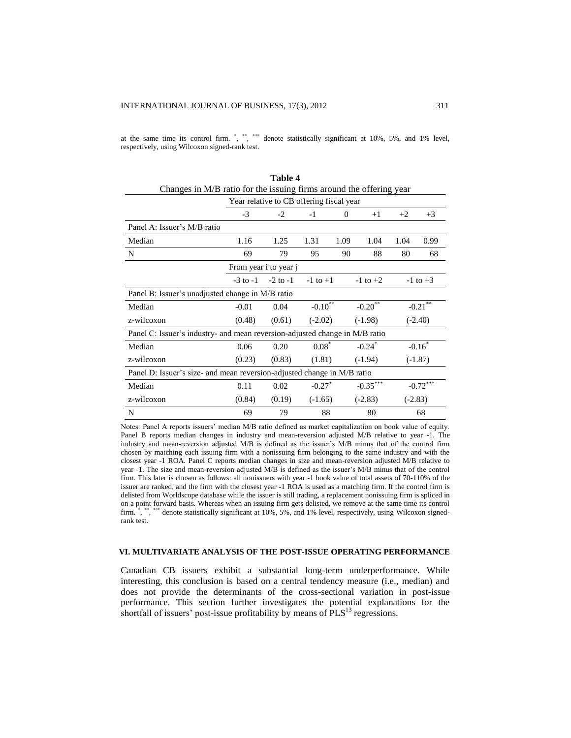at the same time its control firm. \*, \*\*\*, \*\*\*\* denote statistically significant at 10%, 5%, and 1% level, respectively, using Wilcoxon signed-rank test.

| <b>Table 4</b>                                                              |              |              |                                                      |          |                        |           |              |  |
|-----------------------------------------------------------------------------|--------------|--------------|------------------------------------------------------|----------|------------------------|-----------|--------------|--|
| Changes in M/B ratio for the issuing firms around the offering year         |              |              |                                                      |          |                        |           |              |  |
| Year relative to CB offering fiscal year                                    |              |              |                                                      |          |                        |           |              |  |
|                                                                             | $-3$         | $-2$         | $-1$                                                 | $\Omega$ | $+1$                   | $+2$      | $+3$         |  |
| Panel A: Issuer's M/B ratio                                                 |              |              |                                                      |          |                        |           |              |  |
| Median                                                                      | 1.16         | 1.25         | 1.31                                                 | 1.09     | 1.04                   | 1.04      | 0.99         |  |
| N                                                                           | 69           | 79           | 95                                                   | 90       | 88                     | 80        | 68           |  |
| From year i to year j                                                       |              |              |                                                      |          |                        |           |              |  |
|                                                                             | $-3$ to $-1$ | $-2$ to $-1$ | $-1$ to $+1$                                         |          | $-1$ to $+2$           |           | $-1$ to $+3$ |  |
| Panel B: Issuer's unadjusted change in M/B ratio                            |              |              |                                                      |          |                        |           |              |  |
| Median                                                                      | $-0.01$      | 0.04         | $-0.10$ <sup>**</sup><br>$\textbf{-0.20}^{\ast\ast}$ |          | $-0.21$ <sup>**</sup>  |           |              |  |
| z-wilcoxon                                                                  | (0.48)       | (0.61)       | $(-2.02)$<br>$(-1.98)$                               |          | $(-2.40)$              |           |              |  |
| Panel C: Issuer's industry- and mean reversion-adjusted change in M/B ratio |              |              |                                                      |          |                        |           |              |  |
| Median                                                                      | 0.06         | 0.20         | $0.08*$                                              |          | $-0.24$ <sup>*</sup>   |           | $-0.16$ *    |  |
| z-wilcoxon                                                                  | (0.23)       | (0.83)       | (1.81)                                               |          | $(-1.94)$<br>$(-1.87)$ |           |              |  |
| Panel D: Issuer's size- and mean reversion-adjusted change in M/B ratio     |              |              |                                                      |          |                        |           |              |  |
| Median                                                                      | 0.11         | 0.02         | $-0.27$ *                                            |          | $-0.35***$             |           | $-0.72$ ***  |  |
| z-wilcoxon                                                                  | (0.84)       | (0.19)       | $(-1.65)$                                            |          | $(-2.83)$              | $(-2.83)$ |              |  |
| N                                                                           | 69           | 79           | 88                                                   |          | 80                     |           | 68           |  |

Notes: Panel A reports issuers' median M/B ratio defined as market capitalization on book value of equity. Panel B reports median changes in industry and mean-reversion adjusted M/B relative to year -1. The industry and mean-reversion adjusted M/B is defined as the issuer's M/B minus that of the control firm chosen by matching each issuing firm with a nonissuing firm belonging to the same industry and with the closest year -1 ROA. Panel C reports median changes in size and mean-reversion adjusted M/B relative to year -1. The size and mean-reversion adjusted M/B is defined as the issuer's M/B minus that of the control firm. This later is chosen as follows: all nonissuers with year -1 book value of total assets of 70-110% of the issuer are ranked, and the firm with the closest year -1 ROA is used as a matching firm. If the control firm is delisted from Worldscope database while the issuer is still trading, a replacement nonissuing firm is spliced in on a point forward basis. Whereas when an issuing firm gets delisted, we remove at the same time its control  $\lim,$   $\lim,$   $\lim,$   $\lim,$   $\lim,$   $\lim,$   $\lim,$   $\lim,$   $\lim,$   $\lim,$   $\lim,$   $\lim,$   $\lim,$   $\lim,$   $\lim,$   $\lim,$   $\lim,$   $\lim,$   $\lim,$   $\lim,$   $\lim,$   $\lim,$   $\lim,$   $\lim,$   $\lim,$   $\lim,$   $\lim,$   $\lim,$   $\lim,$   $\lim,$   $\lim,$   $\lim,$   $\lim,$   $\lim,$   $\lim,$   $\lim,$   $\lim,$ \*\* denote statistically significant at 10%, 5%, and 1% level, respectively, using Wilcoxon signedrank test.

#### **VI. MULTIVARIATE ANALYSIS OF THE POST-ISSUE OPERATING PERFORMANCE**

Canadian CB issuers exhibit a substantial long-term underperformance. While interesting, this conclusion is based on a central tendency measure (i.e., median) and does not provide the determinants of the cross-sectional variation in post-issue performance. This section further investigates the potential explanations for the shortfall of issuers' post-issue profitability by means of  $PLS<sup>13</sup>$  regressions.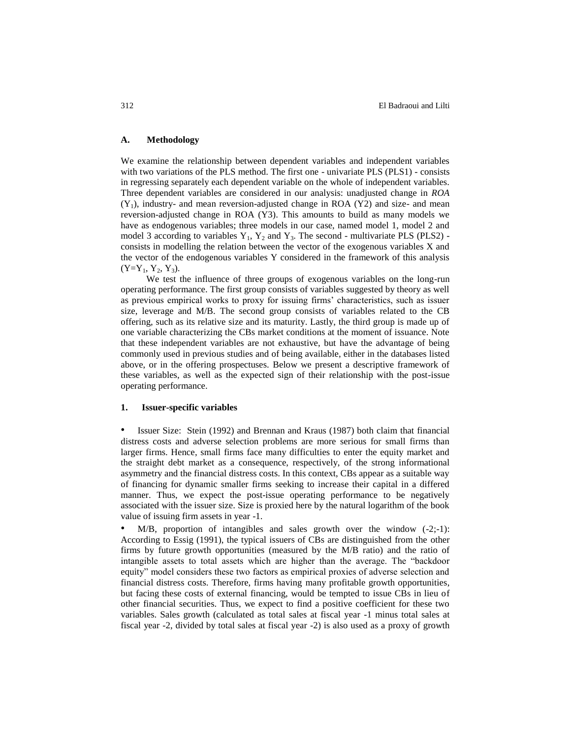#### **A. Methodology**

We examine the relationship between dependent variables and independent variables with two variations of the PLS method. The first one - univariate PLS (PLS1) - consists in regressing separately each dependent variable on the whole of independent variables. Three dependent variables are considered in our analysis: unadjusted change in *ROA*  $(Y_1)$ , industry- and mean reversion-adjusted change in ROA  $(Y_2)$  and size- and mean reversion-adjusted change in ROA (Y3). This amounts to build as many models we have as endogenous variables; three models in our case, named model 1, model 2 and model 3 according to variables  $Y_1$ ,  $Y_2$  and  $Y_3$ . The second - multivariate PLS (PLS2) consists in modelling the relation between the vector of the exogenous variables X and the vector of the endogenous variables Y considered in the framework of this analysis  $(Y=Y_1, Y_2, Y_3)$ .

We test the influence of three groups of exogenous variables on the long-run operating performance. The first group consists of variables suggested by theory as well as previous empirical works to proxy for issuing firms' characteristics, such as issuer size, leverage and M/B. The second group consists of variables related to the CB offering, such as its relative size and its maturity. Lastly, the third group is made up of one variable characterizing the CBs market conditions at the moment of issuance. Note that these independent variables are not exhaustive, but have the advantage of being commonly used in previous studies and of being available, either in the databases listed above, or in the offering prospectuses. Below we present a descriptive framework of these variables, as well as the expected sign of their relationship with the post-issue operating performance.

#### **1. Issuer-specific variables**

• Issuer Size: Stein (1992) and Brennan and Kraus (1987) both claim that financial distress costs and adverse selection problems are more serious for small firms than larger firms. Hence, small firms face many difficulties to enter the equity market and the straight debt market as a consequence, respectively, of the strong informational asymmetry and the financial distress costs. In this context, CBs appear as a suitable way of financing for dynamic smaller firms seeking to increase their capital in a differed manner. Thus, we expect the post-issue operating performance to be negatively associated with the issuer size. Size is proxied here by the natural logarithm of the book value of issuing firm assets in year -1.

 $M/B$ , proportion of intangibles and sales growth over the window  $(-2,-1)$ : According to Essig (1991), the typical issuers of CBs are distinguished from the other firms by future growth opportunities (measured by the M/B ratio) and the ratio of intangible assets to total assets which are higher than the average. The "backdoor equity" model considers these two factors as empirical proxies of adverse selection and financial distress costs. Therefore, firms having many profitable growth opportunities, but facing these costs of external financing, would be tempted to issue CBs in lieu of other financial securities. Thus, we expect to find a positive coefficient for these two variables. Sales growth (calculated as total sales at fiscal year -1 minus total sales at fiscal year -2, divided by total sales at fiscal year -2) is also used as a proxy of growth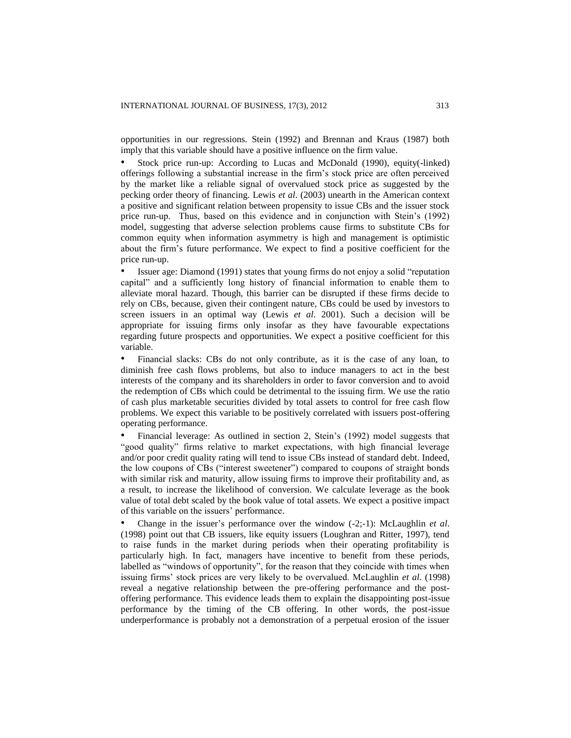opportunities in our regressions. Stein (1992) and Brennan and Kraus (1987) both imply that this variable should have a positive influence on the firm value.

Stock price run-up: According to Lucas and McDonald (1990), equity(-linked) offerings following a substantial increase in the firm's stock price are often perceived by the market like a reliable signal of overvalued stock price as suggested by the pecking order theory of financing. Lewis *et al*. (2003) unearth in the American context a positive and significant relation between propensity to issue CBs and the issuer stock price run-up. Thus, based on this evidence and in conjunction with Stein's (1992) model, suggesting that adverse selection problems cause firms to substitute CBs for common equity when information asymmetry is high and management is optimistic about the firm's future performance. We expect to find a positive coefficient for the price run-up.

• Issuer age: Diamond (1991) states that young firms do not enjoy a solid "reputation capital" and a sufficiently long history of financial information to enable them to alleviate moral hazard. Though, this barrier can be disrupted if these firms decide to rely on CBs, because, given their contingent nature, CBs could be used by investors to screen issuers in an optimal way (Lewis *et al*. 2001). Such a decision will be appropriate for issuing firms only insofar as they have favourable expectations regarding future prospects and opportunities. We expect a positive coefficient for this variable.

• Financial slacks: CBs do not only contribute, as it is the case of any loan, to diminish free cash flows problems, but also to induce managers to act in the best interests of the company and its shareholders in order to favor conversion and to avoid the redemption of CBs which could be detrimental to the issuing firm. We use the ratio of cash plus marketable securities divided by total assets to control for free cash flow problems. We expect this variable to be positively correlated with issuers post-offering operating performance.

• Financial leverage: As outlined in section 2, Stein's (1992) model suggests that "good quality" firms relative to market expectations, with high financial leverage and/or poor credit quality rating will tend to issue CBs instead of standard debt. Indeed, the low coupons of CBs ("interest sweetener") compared to coupons of straight bonds with similar risk and maturity, allow issuing firms to improve their profitability and, as a result, to increase the likelihood of conversion. We calculate leverage as the book value of total debt scaled by the book value of total assets. We expect a positive impact of this variable on the issuers' performance.

• Change in the issuer's performance over the window (-2;-1): McLaughlin *et al*. (1998) point out that CB issuers, like equity issuers (Loughran and Ritter, 1997), tend to raise funds in the market during periods when their operating profitability is particularly high. In fact, managers have incentive to benefit from these periods, labelled as "windows of opportunity", for the reason that they coincide with times when issuing firms' stock prices are very likely to be overvalued. McLaughlin *et al*. (1998) reveal a negative relationship between the pre-offering performance and the postoffering performance. This evidence leads them to explain the disappointing post-issue performance by the timing of the CB offering. In other words, the post-issue underperformance is probably not a demonstration of a perpetual erosion of the issuer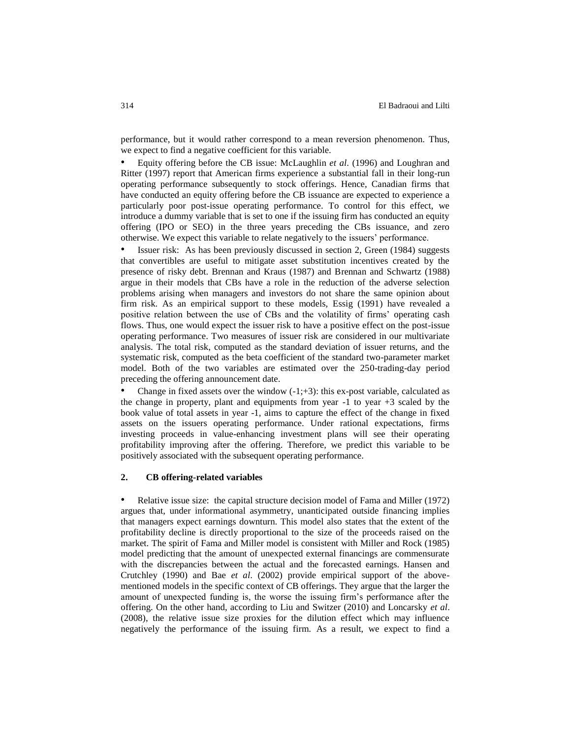performance, but it would rather correspond to a mean reversion phenomenon. Thus, we expect to find a negative coefficient for this variable.

• Equity offering before the CB issue: McLaughlin *et al*. (1996) and Loughran and Ritter (1997) report that American firms experience a substantial fall in their long-run operating performance subsequently to stock offerings. Hence, Canadian firms that have conducted an equity offering before the CB issuance are expected to experience a particularly poor post-issue operating performance. To control for this effect, we introduce a dummy variable that is set to one if the issuing firm has conducted an equity offering (IPO or SEO) in the three years preceding the CBs issuance, and zero otherwise. We expect this variable to relate negatively to the issuers' performance.

Issuer risk: As has been previously discussed in section 2, Green (1984) suggests that convertibles are useful to mitigate asset substitution incentives created by the presence of risky debt. Brennan and Kraus (1987) and Brennan and Schwartz (1988) argue in their models that CBs have a role in the reduction of the adverse selection problems arising when managers and investors do not share the same opinion about firm risk. As an empirical support to these models, Essig (1991) have revealed a positive relation between the use of CBs and the volatility of firms' operating cash flows. Thus, one would expect the issuer risk to have a positive effect on the post-issue operating performance. Two measures of issuer risk are considered in our multivariate analysis. The total risk, computed as the standard deviation of issuer returns, and the systematic risk, computed as the beta coefficient of the standard two-parameter market model. Both of the two variables are estimated over the 250-trading-day period preceding the offering announcement date.

Change in fixed assets over the window  $(-1;+3)$ : this ex-post variable, calculated as the change in property, plant and equipments from year -1 to year +3 scaled by the book value of total assets in year -1, aims to capture the effect of the change in fixed assets on the issuers operating performance. Under rational expectations, firms investing proceeds in value-enhancing investment plans will see their operating profitability improving after the offering. Therefore, we predict this variable to be positively associated with the subsequent operating performance.

#### **2. CB offering-related variables**

• Relative issue size: the capital structure decision model of Fama and Miller (1972) argues that, under informational asymmetry, unanticipated outside financing implies that managers expect earnings downturn. This model also states that the extent of the profitability decline is directly proportional to the size of the proceeds raised on the market. The spirit of Fama and Miller model is consistent with Miller and Rock (1985) model predicting that the amount of unexpected external financings are commensurate with the discrepancies between the actual and the forecasted earnings. Hansen and Crutchley (1990) and Bae *et al*. (2002) provide empirical support of the abovementioned models in the specific context of CB offerings. They argue that the larger the amount of unexpected funding is, the worse the issuing firm's performance after the offering. On the other hand, according to Liu and Switzer (2010) and Loncarsky *et al*. (2008), the relative issue size proxies for the dilution effect which may influence negatively the performance of the issuing firm. As a result, we expect to find a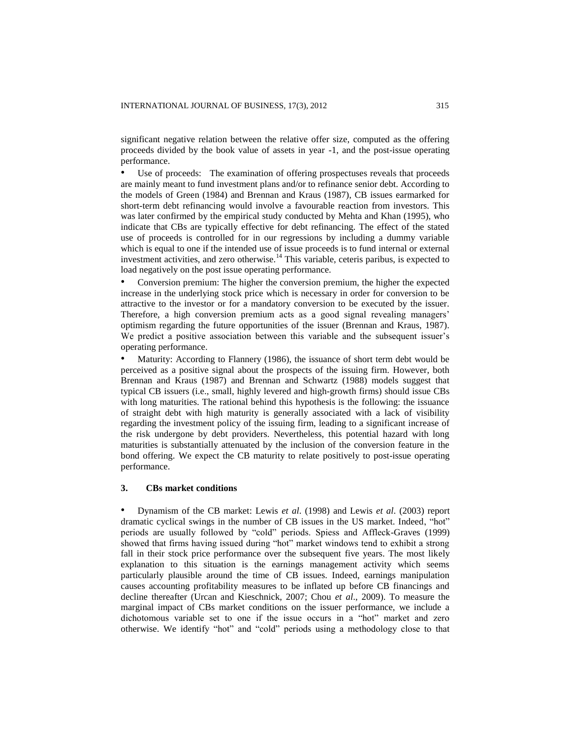significant negative relation between the relative offer size, computed as the offering proceeds divided by the book value of assets in year -1, and the post-issue operating performance.

• Use of proceeds: The examination of offering prospectuses reveals that proceeds are mainly meant to fund investment plans and/or to refinance senior debt. According to the models of Green (1984) and Brennan and Kraus (1987), CB issues earmarked for short-term debt refinancing would involve a favourable reaction from investors. This was later confirmed by the empirical study conducted by Mehta and Khan (1995), who indicate that CBs are typically effective for debt refinancing. The effect of the stated use of proceeds is controlled for in our regressions by including a dummy variable which is equal to one if the intended use of issue proceeds is to fund internal or external investment activities, and zero otherwise.<sup>14</sup> This variable, ceteris paribus, is expected to load negatively on the post issue operating performance.

• Conversion premium: The higher the conversion premium, the higher the expected increase in the underlying stock price which is necessary in order for conversion to be attractive to the investor or for a mandatory conversion to be executed by the issuer. Therefore, a high conversion premium acts as a good signal revealing managers' optimism regarding the future opportunities of the issuer (Brennan and Kraus, 1987). We predict a positive association between this variable and the subsequent issuer's operating performance.

• Maturity: According to Flannery (1986), the issuance of short term debt would be perceived as a positive signal about the prospects of the issuing firm. However, both Brennan and Kraus (1987) and Brennan and Schwartz (1988) models suggest that typical CB issuers (i.e., small, highly levered and high-growth firms) should issue CBs with long maturities. The rational behind this hypothesis is the following: the issuance of straight debt with high maturity is generally associated with a lack of visibility regarding the investment policy of the issuing firm, leading to a significant increase of the risk undergone by debt providers. Nevertheless, this potential hazard with long maturities is substantially attenuated by the inclusion of the conversion feature in the bond offering. We expect the CB maturity to relate positively to post-issue operating performance.

#### **3. CBs market conditions**

• Dynamism of the CB market: Lewis *et al*. (1998) and Lewis *et al*. (2003) report dramatic cyclical swings in the number of CB issues in the US market. Indeed, "hot" periods are usually followed by "cold" periods. Spiess and Affleck-Graves (1999) showed that firms having issued during "hot" market windows tend to exhibit a strong fall in their stock price performance over the subsequent five years. The most likely explanation to this situation is the earnings management activity which seems particularly plausible around the time of CB issues. Indeed, earnings manipulation causes accounting profitability measures to be inflated up before CB financings and decline thereafter (Urcan and Kieschnick, 2007; Chou *et al*., 2009). To measure the marginal impact of CBs market conditions on the issuer performance, we include a dichotomous variable set to one if the issue occurs in a "hot" market and zero otherwise. We identify "hot" and "cold" periods using a methodology close to that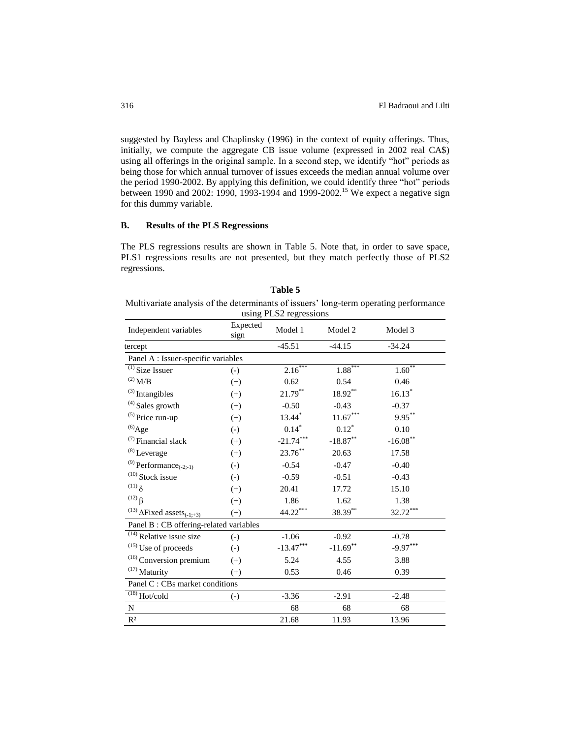suggested by Bayless and Chaplinsky (1996) in the context of equity offerings. Thus, initially, we compute the aggregate CB issue volume (expressed in 2002 real CA\$) using all offerings in the original sample. In a second step, we identify "hot" periods as being those for which annual turnover of issues exceeds the median annual volume over the period 1990-2002. By applying this definition, we could identify three "hot" periods between 1990 and 2002: 1990, 1993-1994 and 1999-2002.<sup>15</sup> We expect a negative sign for this dummy variable.

## **B. Results of the PLS Regressions**

The PLS regressions results are shown in Table 5. Note that, in order to save space, PLS1 regressions results are not presented, but they match perfectly those of PLS2 regressions.

Multivariate analysis of the determinants of issuers' long-term operating performance

|                                                          |                   | using PLS2 regressions |                        |              |
|----------------------------------------------------------|-------------------|------------------------|------------------------|--------------|
| Independent variables                                    | Expected<br>sign  | Model 1                | Model 2                | Model 3      |
| tercept                                                  |                   | $-45.51$               | $-44.15$               | $-34.24$     |
| Panel A : Issuer-specific variables                      |                   |                        |                        |              |
| $\overline{^{(1)}}$ Size Issuer                          | $\left( -\right)$ | $2.16***$              | $1.88***$              | $1.60^{***}$ |
| $^{(2)}$ M/B                                             | $(+)$             | 0.62                   | 0.54                   | 0.46         |
| $^{(3)}$ Intangibles                                     | $(+)$             | $21.79***$             | 18.92**                | $16.13*$     |
| $(4)$ Sales growth                                       | $(+)$             | $-0.50$                | $-0.43$                | $-0.37$      |
| $(5)$ Price run-up                                       | $(+)$             | 13.44*                 | $11.67^{\ast\ast\ast}$ | $9.95***$    |
| $^{(6)}$ Age                                             | $(-)$             | $0.14*$                | $0.12*$                | 0.10         |
| $(7)$ Financial slack                                    | $(+)$             | $-21.74***$            | $-18.87***$            | $-16.08$ **  |
| $(8)$ Leverage                                           | $(+)$             | $23.76***$             | 20.63                  | 17.58        |
| $(9)$ Performance <sub>(-2;-1)</sub>                     | $\left( -\right)$ | $-0.54$                | $-0.47$                | $-0.40$      |
| $(10)$ Stock issue                                       | $\left( -\right)$ | $-0.59$                | $-0.51$                | $-0.43$      |
| $(11)$ $\delta$                                          | $(+)$             | 20.41                  | 17.72                  | 15.10        |
| <sup>(12)</sup> $\beta$                                  | $(+)$             | 1.86                   | 1.62                   | 1.38         |
| <sup>(13)</sup> $\Delta$ Fixed assets <sub>(-1;+3)</sub> | $(+)$             | $44.22***$             | 38.39**                | $32.72***$   |
| Panel B: CB offering-related variables                   |                   |                        |                        |              |
| $\overline{^{(14)}}$ Relative issue size                 | $(-)$             | $-1.06$                | $-0.92$                | $-0.78$      |
| <sup>(15)</sup> Use of proceeds                          | $(-)$             | $-13.47***$            | $-11.69$ **            | $-9.97***$   |
| <sup>(16)</sup> Conversion premium                       | $(+)$             | 5.24                   | 4.55                   | 3.88         |
| $(17)$ Maturity                                          | $(+)$             | 0.53                   | 0.46                   | 0.39         |
| Panel C : CBs market conditions                          |                   |                        |                        |              |
| $\overline{^{(18)}}$ Hot/cold                            | $\left( -\right)$ | $-3.36$                | $-2.91$                | $-2.48$      |
| ${\bf N}$                                                |                   | 68                     | 68                     | 68           |
| R <sup>2</sup>                                           |                   | 21.68                  | 11.93                  | 13.96        |

| Table 5 |  |
|---------|--|
|         |  |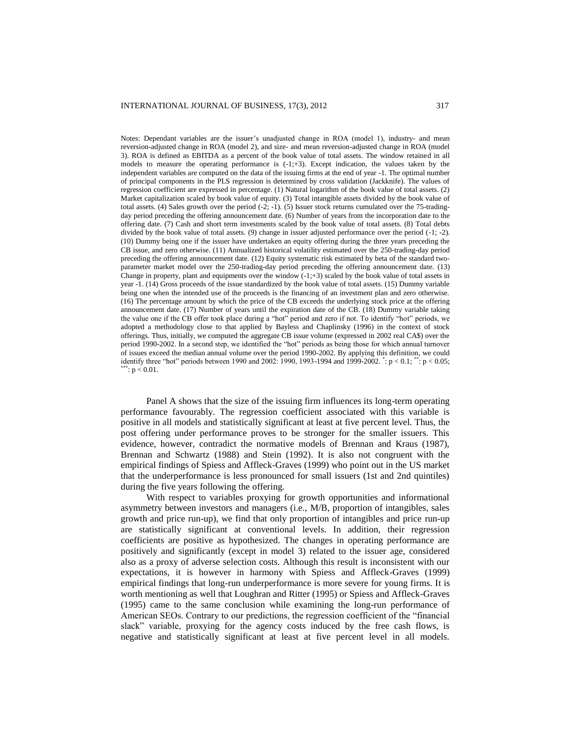Notes: Dependant variables are the issuer's unadjusted change in ROA (model 1), industry- and mean reversion-adjusted change in ROA (model 2), and size- and mean reversion-adjusted change in ROA (model 3). ROA is defined as EBITDA as a percent of the book value of total assets. The window retained in all models to measure the operating performance is  $(-1, +3)$ . Except indication, the values taken by the independent variables are computed on the data of the issuing firms at the end of year -1. The optimal number of principal components in the PLS regression is determined by cross validation (Jackknife). The values of regression coefficient are expressed in percentage. (1) Natural logarithm of the book value of total assets. (2) Market capitalization scaled by book value of equity. (3) Total intangible assets divided by the book value of total assets. (4) Sales growth over the period (-2; -1). (5) Issuer stock returns cumulated over the 75-tradingday period preceding the offering announcement date. (6) Number of years from the incorporation date to the offering date. (7) Cash and short term investments scaled by the book value of total assets. (8) Total debts divided by the book value of total assets. (9) change in issuer adjusted performance over the period (-1; -2). (10) Dummy being one if the issuer have undertaken an equity offering during the three years preceding the CB issue, and zero otherwise. (11) Annualized historical volatility estimated over the 250-trading-day period preceding the offering announcement date. (12) Equity systematic risk estimated by beta of the standard twoparameter market model over the 250-trading-day period preceding the offering announcement date. (13) Change in property, plant and equipments over the window  $(-1;+3)$  scaled by the book value of total assets in year -1. (14) Gross proceeds of the issue standardized by the book value of total assets. (15) Dummy variable being one when the intended use of the proceeds is the financing of an investment plan and zero otherwise. (16) The percentage amount by which the price of the CB exceeds the underlying stock price at the offering announcement date. (17) Number of years until the expiration date of the CB. (18) Dummy variable taking the value one if the CB offer took place during a "hot" period and zero if not. To identify "hot" periods, we adopted a methodology close to that applied by Bayless and Chaplinsky (1996) in the context of stock offerings. Thus, initially, we computed the aggregate CB issue volume (expressed in 2002 real CA\$) over the period 1990-2002. In a second step, we identified the "hot" periods as being those for which annual turnover of issues exceed the median annual volume over the period 1990-2002. By applying this definition, we could identify three "hot" periods between 1990 and 2002: 1990, 1993-1994 and 1999-2002.  $\dot{ }$  : p < 0.1;  $\dot{ }$  in p < 0.05;  $\degree: p < 0.01.$ 

Panel A shows that the size of the issuing firm influences its long-term operating performance favourably. The regression coefficient associated with this variable is positive in all models and statistically significant at least at five percent level. Thus, the post offering under performance proves to be stronger for the smaller issuers. This evidence, however, contradict the normative models of Brennan and Kraus (1987), Brennan and Schwartz (1988) and Stein (1992). It is also not congruent with the empirical findings of Spiess and Affleck-Graves (1999) who point out in the US market that the underperformance is less pronounced for small issuers (1st and 2nd quintiles) during the five years following the offering.

With respect to variables proxying for growth opportunities and informational asymmetry between investors and managers (i.e., M/B, proportion of intangibles, sales growth and price run-up), we find that only proportion of intangibles and price run-up are statistically significant at conventional levels. In addition, their regression coefficients are positive as hypothesized. The changes in operating performance are positively and significantly (except in model 3) related to the issuer age, considered also as a proxy of adverse selection costs. Although this result is inconsistent with our expectations, it is however in harmony with Spiess and Affleck-Graves (1999) empirical findings that long-run underperformance is more severe for young firms. It is worth mentioning as well that Loughran and Ritter (1995) or Spiess and Affleck-Graves (1995) came to the same conclusion while examining the long-run performance of American SEOs. Contrary to our predictions, the regression coefficient of the "financial slack" variable, proxying for the agency costs induced by the free cash flows, is negative and statistically significant at least at five percent level in all models.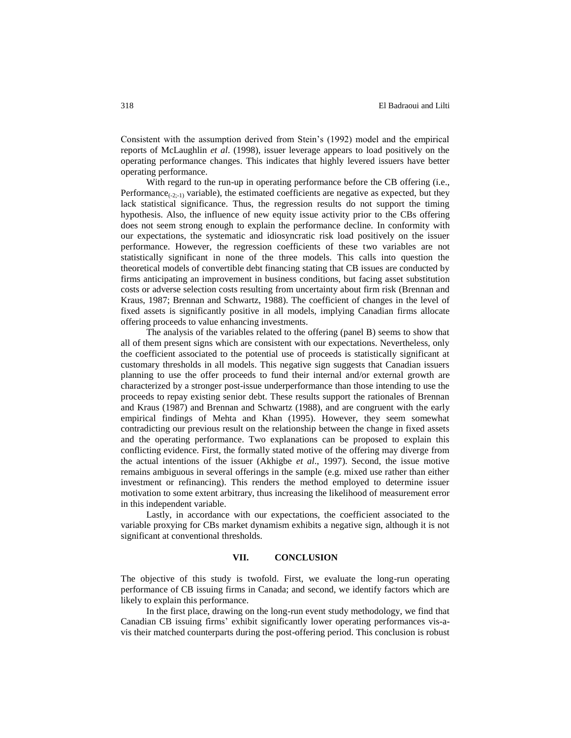Consistent with the assumption derived from Stein's (1992) model and the empirical reports of McLaughlin *et al*. (1998), issuer leverage appears to load positively on the operating performance changes. This indicates that highly levered issuers have better operating performance.

With regard to the run-up in operating performance before the CB offering (i.e., Performance $_{(-2,-1)}$  variable), the estimated coefficients are negative as expected, but they lack statistical significance. Thus, the regression results do not support the timing hypothesis. Also, the influence of new equity issue activity prior to the CBs offering does not seem strong enough to explain the performance decline. In conformity with our expectations, the systematic and idiosyncratic risk load positively on the issuer performance. However, the regression coefficients of these two variables are not statistically significant in none of the three models. This calls into question the theoretical models of convertible debt financing stating that CB issues are conducted by firms anticipating an improvement in business conditions, but facing asset substitution costs or adverse selection costs resulting from uncertainty about firm risk (Brennan and Kraus, 1987; Brennan and Schwartz, 1988). The coefficient of changes in the level of fixed assets is significantly positive in all models, implying Canadian firms allocate offering proceeds to value enhancing investments.

The analysis of the variables related to the offering (panel B) seems to show that all of them present signs which are consistent with our expectations. Nevertheless, only the coefficient associated to the potential use of proceeds is statistically significant at customary thresholds in all models. This negative sign suggests that Canadian issuers planning to use the offer proceeds to fund their internal and/or external growth are characterized by a stronger post-issue underperformance than those intending to use the proceeds to repay existing senior debt. These results support the rationales of Brennan and Kraus (1987) and Brennan and Schwartz (1988), and are congruent with the early empirical findings of Mehta and Khan (1995). However, they seem somewhat contradicting our previous result on the relationship between the change in fixed assets and the operating performance. Two explanations can be proposed to explain this conflicting evidence. First, the formally stated motive of the offering may diverge from the actual intentions of the issuer (Akhigbe *et al*., 1997). Second, the issue motive remains ambiguous in several offerings in the sample (e.g. mixed use rather than either investment or refinancing). This renders the method employed to determine issuer motivation to some extent arbitrary, thus increasing the likelihood of measurement error in this independent variable.

Lastly, in accordance with our expectations, the coefficient associated to the variable proxying for CBs market dynamism exhibits a negative sign, although it is not significant at conventional thresholds.

## **VII. CONCLUSION**

The objective of this study is twofold. First, we evaluate the long-run operating performance of CB issuing firms in Canada; and second, we identify factors which are likely to explain this performance.

In the first place, drawing on the long-run event study methodology, we find that Canadian CB issuing firms' exhibit significantly lower operating performances vis-avis their matched counterparts during the post-offering period. This conclusion is robust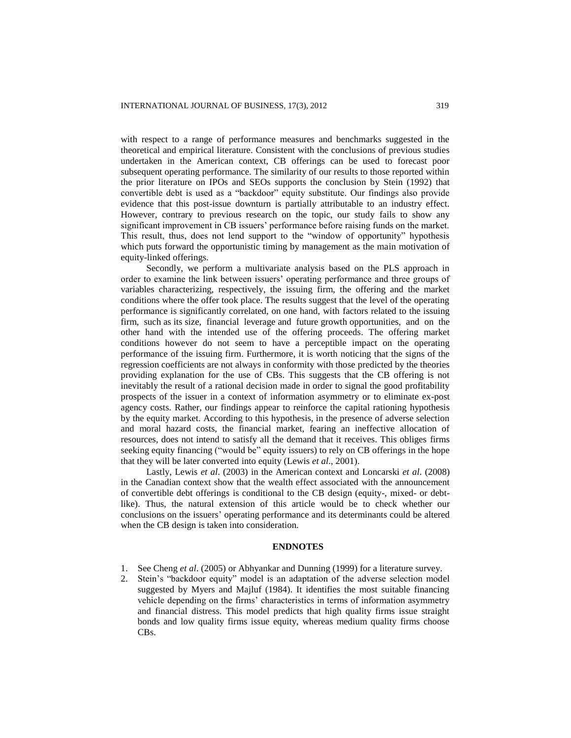with respect to a range of performance measures and benchmarks suggested in the theoretical and empirical literature. Consistent with the conclusions of previous studies undertaken in the American context, CB offerings can be used to forecast poor subsequent operating performance. The similarity of our results to those reported within the prior literature on IPOs and SEOs supports the conclusion by Stein (1992) that convertible debt is used as a "backdoor" equity substitute. Our findings also provide evidence that this post-issue downturn is partially attributable to an industry effect. However, contrary to previous research on the topic, our study fails to show any significant improvement in CB issuers' performance before raising funds on the market. This result, thus, does not lend support to the "window of opportunity" hypothesis which puts forward the opportunistic timing by management as the main motivation of equity-linked offerings.

Secondly, we perform a multivariate analysis based on the PLS approach in order to examine the link between issuers' operating performance and three groups of variables characterizing, respectively, the issuing firm, the offering and the market conditions where the offer took place. The results suggest that the level of the operating performance is significantly correlated, on one hand, with factors related to the issuing firm, such as its size, financial leverage and future growth opportunities, and on the other hand with the intended use of the offering proceeds. The offering market conditions however do not seem to have a perceptible impact on the operating performance of the issuing firm. Furthermore, it is worth noticing that the signs of the regression coefficients are not always in conformity with those predicted by the theories providing explanation for the use of CBs. This suggests that the CB offering is not inevitably the result of a rational decision made in order to signal the good profitability prospects of the issuer in a context of information asymmetry or to eliminate ex-post agency costs. Rather, our findings appear to reinforce the capital rationing hypothesis by the equity market. According to this hypothesis, in the presence of adverse selection and moral hazard costs, the financial market, fearing an ineffective allocation of resources, does not intend to satisfy all the demand that it receives. This obliges firms seeking equity financing ("would be" equity issuers) to rely on CB offerings in the hope that they will be later converted into equity (Lewis *et al*., 2001).

Lastly, Lewis *et al*. (2003) in the American context and Loncarski *et al*. (2008) in the Canadian context show that the wealth effect associated with the announcement of convertible debt offerings is conditional to the CB design (equity-, mixed- or debtlike). Thus, the natural extension of this article would be to check whether our conclusions on the issuers' operating performance and its determinants could be altered when the CB design is taken into consideration.

#### **ENDNOTES**

- 1. See Cheng *et al*. (2005) or Abhyankar and Dunning (1999) for a literature survey.
- 2. Stein's "backdoor equity" model is an adaptation of the adverse selection model suggested by Myers and Majluf (1984). It identifies the most suitable financing vehicle depending on the firms' characteristics in terms of information asymmetry and financial distress. This model predicts that high quality firms issue straight bonds and low quality firms issue equity, whereas medium quality firms choose CBs.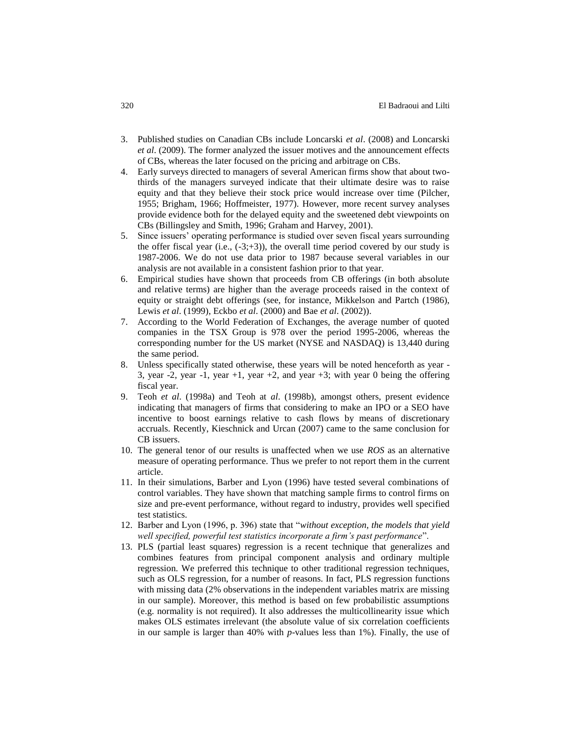- 3. Published studies on Canadian CBs include Loncarski *et al*. (2008) and Loncarski *et al*. (2009). The former analyzed the issuer motives and the announcement effects of CBs, whereas the later focused on the pricing and arbitrage on CBs.
- 4. Early surveys directed to managers of several American firms show that about twothirds of the managers surveyed indicate that their ultimate desire was to raise equity and that they believe their stock price would increase over time (Pilcher, 1955; Brigham, 1966; Hoffmeister, 1977). However, more recent survey analyses provide evidence both for the delayed equity and the sweetened debt viewpoints on CBs (Billingsley and Smith, 1996; Graham and Harvey, 2001).
- 5. Since issuers' operating performance is studied over seven fiscal years surrounding the offer fiscal year (i.e.,  $(-3;+3)$ ), the overall time period covered by our study is 1987-2006. We do not use data prior to 1987 because several variables in our analysis are not available in a consistent fashion prior to that year.
- 6. Empirical studies have shown that proceeds from CB offerings (in both absolute and relative terms) are higher than the average proceeds raised in the context of equity or straight debt offerings (see, for instance, Mikkelson and Partch (1986), Lewis *et al*. (1999), Eckbo *et al*. (2000) and Bae *et al*. (2002)).
- 7. According to the World Federation of Exchanges, the average number of quoted companies in the TSX Group is 978 over the period 1995-2006, whereas the corresponding number for the US market (NYSE and NASDAQ) is 13,440 during the same period.
- 8. Unless specifically stated otherwise, these years will be noted henceforth as year 3, year -2, year -1, year +1, year +2, and year +3; with year 0 being the offering fiscal year.
- 9. Teoh *et al*. (1998a) and Teoh at *al*. (1998b), amongst others, present evidence indicating that managers of firms that considering to make an IPO or a SEO have incentive to boost earnings relative to cash flows by means of discretionary accruals. Recently, Kieschnick and Urcan (2007) came to the same conclusion for CB issuers.
- 10. The general tenor of our results is unaffected when we use *ROS* as an alternative measure of operating performance. Thus we prefer to not report them in the current article.
- 11. In their simulations, Barber and Lyon (1996) have tested several combinations of control variables. They have shown that matching sample firms to control firms on size and pre-event performance, without regard to industry, provides well specified test statistics.
- 12. Barber and Lyon (1996, p. 396) state that "*without exception, the models that yield well specified, powerful test statistics incorporate a firm's past performance*".
- 13. PLS (partial least squares) regression is a recent technique that generalizes and combines features from principal component analysis and ordinary multiple regression. We preferred this technique to other traditional regression techniques, such as OLS regression, for a number of reasons. In fact, PLS regression functions with missing data (2% observations in the independent variables matrix are missing in our sample). Moreover, this method is based on few probabilistic assumptions (e.g. normality is not required). It also addresses the multicollinearity issue which makes OLS estimates irrelevant (the absolute value of six correlation coefficients in our sample is larger than 40% with *p*-values less than 1%). Finally, the use of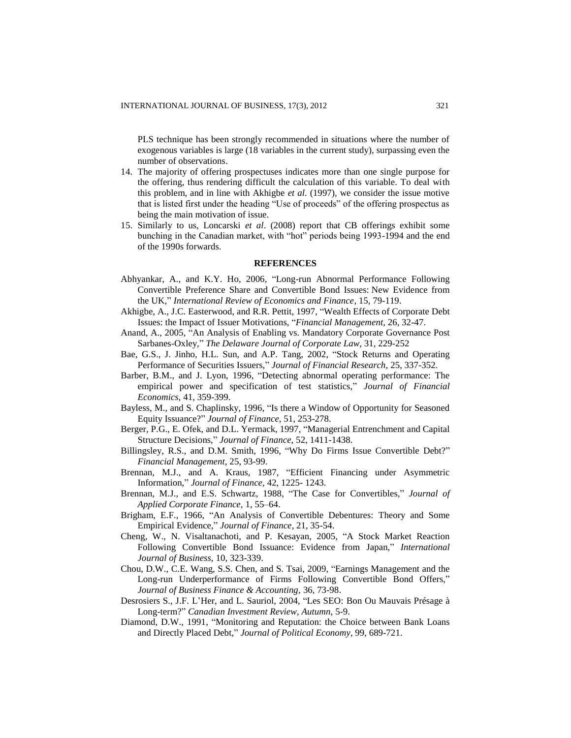PLS technique has been strongly recommended in situations where the number of exogenous variables is large (18 variables in the current study), surpassing even the number of observations.

- 14. The majority of offering prospectuses indicates more than one single purpose for the offering, thus rendering difficult the calculation of this variable. To deal with this problem, and in line with Akhigbe *et al*. (1997), we consider the issue motive that is listed first under the heading "Use of proceeds" of the offering prospectus as being the main motivation of issue.
- 15. Similarly to us, Loncarski *et al*. (2008) report that CB offerings exhibit some bunching in the Canadian market, with "hot" periods being 1993-1994 and the end of the 1990s forwards.

#### **REFERENCES**

- Abhyankar, A., and K.Y. Ho, 2006, "Long-run Abnormal Performance Following Convertible Preference Share and Convertible Bond Issues: New Evidence from the UK," *International Review of Economics and Finance*, 15, 79-119.
- Akhigbe, A., J.C. Easterwood, and R.R. Pettit, 1997, "Wealth Effects of Corporate Debt Issues: the Impact of Issuer Motivations, "*Financial Management*, 26, 32-47.
- Anand, A., 2005, "An Analysis of Enabling vs. Mandatory Corporate Governance Post Sarbanes-Oxley," *The Delaware Journal of Corporate Law,* 31, 229-252
- Bae, G.S., J. Jinho, H.L. Sun, and A.P. Tang, 2002, "Stock Returns and Operating Performance of Securities Issuers," *Journal of Financial Research,* 25, 337-352.
- Barber, B.M., and J. Lyon, 1996, "Detecting abnormal operating performance: The empirical power and specification of test statistics," *Journal of Financial Economics,* 41, 359-399.
- Bayless, M., and S. Chaplinsky, 1996, "Is there a Window of Opportunity for Seasoned Equity Issuance?" *Journal of Finance,* 51, 253-278.
- Berger, P.G., E. Ofek, and D.L. Yermack, 1997, "Managerial Entrenchment and Capital Structure Decisions," *Journal of Finance,* 52, 1411-1438.
- Billingsley, R.S., and D.M. Smith, 1996, "Why Do Firms Issue Convertible Debt?" *Financial Management,* 25, 93-99.
- Brennan, M.J., and A. Kraus, 1987, "Efficient Financing under Asymmetric Information," *Journal of Finance,* 42, 1225- 1243.
- Brennan, M.J., and E.S. Schwartz, 1988, "The Case for Convertibles," *Journal of Applied Corporate Finance,* 1, 55–64.
- Brigham, E.F., 1966, "An Analysis of Convertible Debentures: Theory and Some Empirical Evidence," *Journal of Finance*, 21, 35-54.
- Cheng, W., N. Visaltanachoti, and P. Kesayan, 2005, "A Stock Market Reaction Following Convertible Bond Issuance: Evidence from Japan," *International Journal of Business*, 10, 323-339.
- Chou, D.W., C.E. Wang, S.S. Chen, and S. Tsai, 2009, "Earnings Management and the Long-run Underperformance of Firms Following Convertible Bond Offers," *Journal of Business Finance & Accounting,* 36, 73-98.
- Desrosiers S., J.F. L'Her, and L. Sauriol, 2004, "Les SEO: Bon Ou Mauvais Présage à Long-term?" *Canadian Investment Review, Autumn*, 5-9.
- Diamond, D.W., 1991, "Monitoring and Reputation: the Choice between Bank Loans and Directly Placed Debt," *Journal of Political Economy*, 99, 689-721.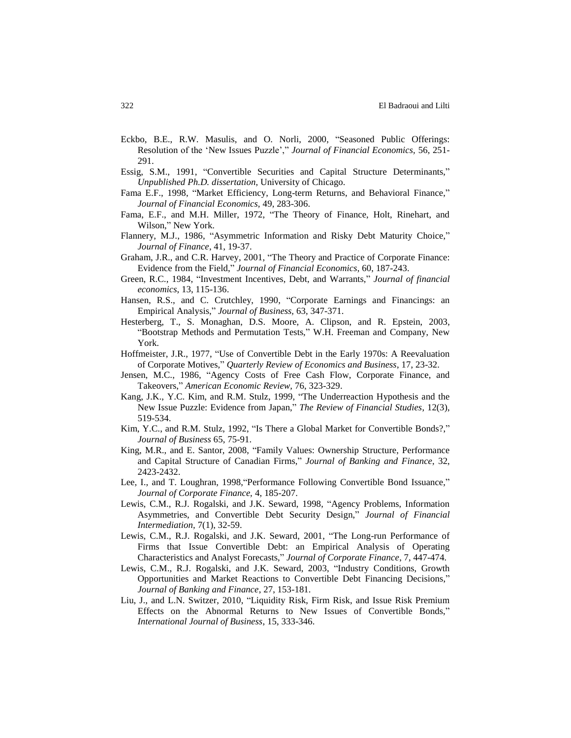- Eckbo, B.E., R.W. Masulis, and O. Norli, 2000, "Seasoned Public Offerings: Resolution of the 'New Issues Puzzle'," *Journal of Financial Economics,* 56, 251- 291.
- Essig, S.M., 1991, "Convertible Securities and Capital Structure Determinants," *Unpublished Ph.D. dissertation*, University of Chicago.
- Fama E.F., 1998, "Market Efficiency, Long-term Returns, and Behavioral Finance," *Journal of Financial Economics,* 49, 283-306.
- Fama, E.F., and M.H. Miller, 1972, "The Theory of Finance, Holt, Rinehart, and Wilson," New York.
- Flannery, M.J., 1986, "Asymmetric Information and Risky Debt Maturity Choice," *Journal of Finance*, 41, 19-37.
- Graham, J.R., and C.R. Harvey, 2001, "The Theory and Practice of Corporate Finance: Evidence from the Field," *Journal of Financial Economics*, 60, 187-243.
- Green, R.C., 1984, "Investment Incentives, Debt, and Warrants," *Journal of financial economics*, 13, 115-136.
- Hansen, R.S., and C. Crutchley, 1990, "Corporate Earnings and Financings: an Empirical Analysis," *Journal of Business,* 63, 347-371.
- Hesterberg, T., S. Monaghan, D.S. Moore, A. Clipson, and R. Epstein, 2003, "Bootstrap Methods and Permutation Tests," W.H. Freeman and Company, New York.
- Hoffmeister, J.R., 1977, "Use of Convertible Debt in the Early 1970s: A Reevaluation of Corporate Motives," *Quarterly Review of Economics and Business*, 17, 23-32.
- Jensen, M.C., 1986, "Agency Costs of Free Cash Flow, Corporate Finance, and Takeovers," *American Economic Review,* 76, 323-329.
- Kang, J.K., Y.C. Kim, and R.M. Stulz, 1999, "The Underreaction Hypothesis and the New Issue Puzzle: Evidence from Japan," *The Review of Financial Studies*, 12(3), 519-534.
- Kim, Y.C., and R.M. Stulz, 1992, "Is There a Global Market for Convertible Bonds?," *Journal of Business* 65, 75-91.
- King, M.R., and E. Santor, 2008, "Family Values: Ownership Structure, Performance and Capital Structure of Canadian Firms," *Journal of Banking and Finance*, 32, 2423-2432.
- Lee, I., and T. Loughran, 1998,"Performance Following Convertible Bond Issuance," *Journal of Corporate Finance,* 4, 185-207.
- Lewis, C.M., R.J. Rogalski, and J.K. Seward, 1998, "Agency Problems, Information Asymmetries, and Convertible Debt Security Design," *Journal of Financial Intermediation,* 7(1), 32-59.
- Lewis, C.M., R.J. Rogalski, and J.K. Seward, 2001, "The Long-run Performance of Firms that Issue Convertible Debt: an Empirical Analysis of Operating Characteristics and Analyst Forecasts," *Journal of Corporate Finance*, 7, 447-474.
- Lewis, C.M., R.J. Rogalski, and J.K. Seward, 2003, "Industry Conditions, Growth Opportunities and Market Reactions to Convertible Debt Financing Decisions," *Journal of Banking and Finance*, 27, 153-181.
- Liu, J., and L.N. Switzer, 2010, "Liquidity Risk, Firm Risk, and Issue Risk Premium Effects on the Abnormal Returns to New Issues of Convertible Bonds," *International Journal of Business*, 15, 333-346.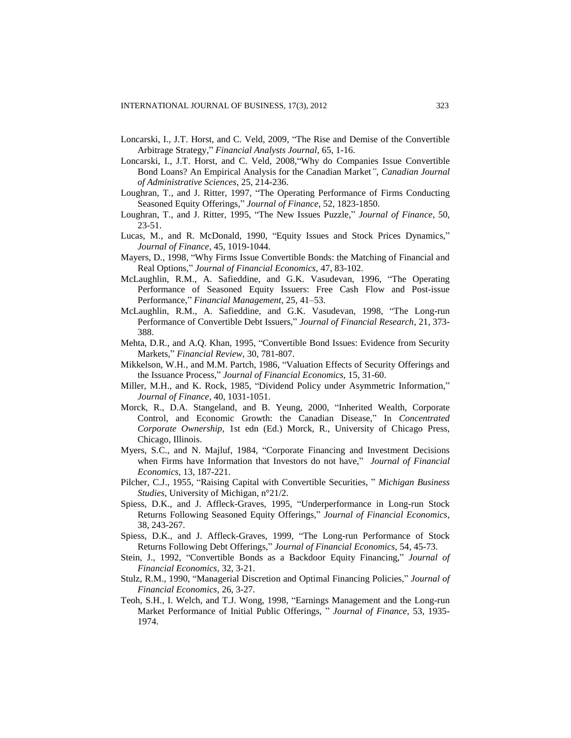- Loncarski, I., J.T. Horst, and C. Veld, 2009, "The Rise and Demise of the Convertible Arbitrage Strategy," *Financial Analysts Journal,* 65, 1-16.
- Loncarski, I., J.T. Horst, and C. Veld, 2008,"Why do Companies Issue Convertible Bond Loans? An Empirical Analysis for the Canadian Market*", Canadian Journal of Administrative Sciences*, 25, 214-236.
- Loughran, T., and J. Ritter, 1997, "The Operating Performance of Firms Conducting Seasoned Equity Offerings," *Journal of Finance,* 52, 1823-1850.
- Loughran, T., and J. Ritter, 1995, "The New Issues Puzzle," *Journal of Finance*, 50, 23-51.
- Lucas, M., and R. McDonald, 1990, "Equity Issues and Stock Prices Dynamics," *Journal of Finance*, 45, 1019-1044.
- Mayers, D., 1998, "Why Firms Issue Convertible Bonds: the Matching of Financial and Real Options," *Journal of Financial Economics*, 47, 83-102.
- McLaughlin, R.M., A. Safieddine, and G.K. Vasudevan, 1996, "The Operating Performance of Seasoned Equity Issuers: Free Cash Flow and Post-issue Performance," *Financial Management*, 25, 41–53.
- McLaughlin, R.M., A. Safieddine, and G.K. Vasudevan, 1998, "The Long-run Performance of Convertible Debt Issuers," *Journal of Financial Research*, 21, 373- 388.
- Mehta, D.R., and A.Q. Khan, 1995, "Convertible Bond Issues: Evidence from Security Markets," *Financial Review*, 30, 781-807.
- Mikkelson, W.H., and M.M. Partch, 1986, "Valuation Effects of Security Offerings and the Issuance Process," *Journal of Financial Economics,* 15, 31-60.
- Miller, M.H., and K. Rock, 1985, "Dividend Policy under Asymmetric Information," *Journal of Finance*, 40, 1031-1051.
- Morck, R., D.A. Stangeland, and B. Yeung, 2000, "Inherited Wealth, Corporate Control, and Economic Growth: the Canadian Disease," In *Concentrated Corporate Ownership*, 1st edn (Ed.) Morck, R., University of Chicago Press, Chicago, Illinois.
- Myers, S.C., and N. Majluf, 1984, "Corporate Financing and Investment Decisions when Firms have Information that Investors do not have," *Journal of Financial Economics,* 13, 187-221.
- Pilcher, C.J., 1955, "Raising Capital with Convertible Securities, " *Michigan Business Studies*, University of Michigan, n°21/2.
- Spiess, D.K., and J. Affleck-Graves, 1995, "Underperformance in Long-run Stock Returns Following Seasoned Equity Offerings," *Journal of Financial Economics*, 38, 243-267.
- Spiess, D.K., and J. Affleck-Graves, 1999, "The Long-run Performance of Stock Returns Following Debt Offerings," *Journal of Financial Economics,* 54, 45-73.
- Stein, J., 1992, "Convertible Bonds as a Backdoor Equity Financing," *Journal of Financial Economics,* 32, 3-21.
- Stulz, R.M., 1990, "Managerial Discretion and Optimal Financing Policies," *Journal of Financial Economics,* 26, 3-27.
- Teoh, S.H., I. Welch, and T.J. Wong, 1998, "Earnings Management and the Long-run Market Performance of Initial Public Offerings, " *Journal of Finance*, 53, 1935- 1974.